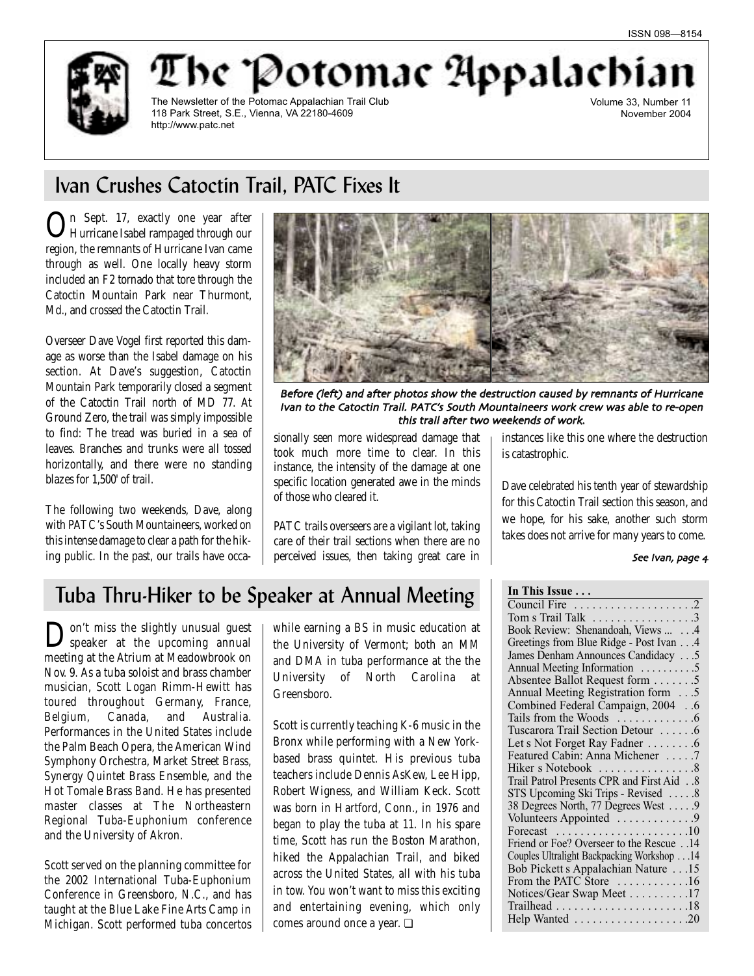'he 'Potomac Appalachi



The Newsletter of the Potomac Appalachian Trail Club 118 Park Street, S.E., Vienna, VA 22180-4609 http://www.patc.net

Volume 33, Number 11 November 2004

## Ivan Crushes Catoctin Trail, PATC Fixes It

In Sept. 17, exactly one year after Hurricane Isabel rampaged through our region, the remnants of Hurricane Ivan came through as well. One locally heavy storm included an F2 tornado that tore through the Catoctin Mountain Park near Thurmont, Md., and crossed the Catoctin Trail.

Overseer Dave Vogel first reported this damage as worse than the Isabel damage on his section. At Dave's suggestion, Catoctin Mountain Park temporarily closed a segment of the Catoctin Trail north of MD 77. At Ground Zero, the trail was simply impossible to find: The tread was buried in a sea of leaves. Branches and trunks were all tossed horizontally, and there were no standing blazes for 1,500' of trail.

The following two weekends, Dave, along with PATC's South Mountaineers, worked on this intense damage to clear a path for the hiking public. In the past, our trails have occa-



Before (left) and after photos show the destruction caused by remnants of Hurricane Ivan to the Catoctin Trail. PATC's South Mountaineers work crew was able to re-open this trail after two weekends of work.

**In This Leape** 

sionally seen more widespread damage that took much more time to clear. In this instance, the intensity of the damage at one specific location generated awe in the minds of those who cleared it.

PATC trails overseers are a vigilant lot, taking care of their trail sections when there are no perceived issues, then taking great care in instances like this one where the destruction is catastrophic.

Dave celebrated his tenth year of stewardship for this Catoctin Trail section this season, and we hope, for his sake, another such storm takes does not arrive for many years to come.

#### See Ivan, page 4

## Tuba Thru-Hiker to be Speaker at Annual Meeting

Don't miss the slightly unusual guest speaker at the upcoming annual meeting at the Atrium at Meadowbrook on Nov. 9. As a tuba soloist and brass chamber musician, Scott Logan Rimm-Hewitt has toured throughout Germany, France, Belgium, Canada, and Australia. Performances in the United States include the Palm Beach Opera, the American Wind Symphony Orchestra, Market Street Brass, Synergy Quintet Brass Ensemble, and the Hot Tomale Brass Band. He has presented master classes at The Northeastern Regional Tuba-Euphonium conference and the University of Akron.

Scott served on the planning committee for the 2002 International Tuba-Euphonium Conference in Greensboro, N.C., and has taught at the Blue Lake Fine Arts Camp in Michigan. Scott performed tuba concertos

while earning a BS in music education at the University of Vermont; both an MM and DMA in tuba performance at the the University of North Carolina at Greensboro.

Scott is currently teaching K-6 music in the Bronx while performing with a New Yorkbased brass quintet. His previous tuba teachers include Dennis AsKew, Lee Hipp, Robert Wigness, and William Keck. Scott was born in Hartford, Conn., in 1976 and began to play the tuba at 11. In his spare time, Scott has run the Boston Marathon, hiked the Appalachian Trail, and biked across the United States, all with his tuba in tow. You won't want to miss this exciting and entertaining evening, which only comes around once a year. ❏

| Tom s Trail Talk 3                                             |
|----------------------------------------------------------------|
| Book Review: Shenandoah, Views  4                              |
| Greetings from Blue Ridge - Post Ivan 4                        |
| James Denham Announces Candidacy 5                             |
| Annual Meeting Information 5                                   |
| Absentee Ballot Request form 5                                 |
| Annual Meeting Registration form 5                             |
| Combined Federal Campaign, 2004 6                              |
|                                                                |
| Tuscarora Trail Section Detour 6                               |
| Let s Not Forget Ray Fadner 6                                  |
| Featured Cabin: Anna Michener 7                                |
|                                                                |
| Trail Patrol Presents CPR and First Aid 8                      |
| STS Upcoming Ski Trips - Revised 8                             |
| 38 Degrees North, 77 Degrees West 9                            |
| Volunteers Appointed 9                                         |
| Forecast $\ldots \ldots \ldots \ldots \ldots \ldots \ldots 10$ |
| Friend or Foe? Overseer to the Rescue 14                       |
| Couples Ultralight Backpacking Workshop 14                     |
| Bob Pickett s Appalachian Nature 15                            |
| From the PATC Store 16                                         |
| Notices/Gear Swap Meet 17                                      |
|                                                                |
| Help Wanted 20                                                 |
|                                                                |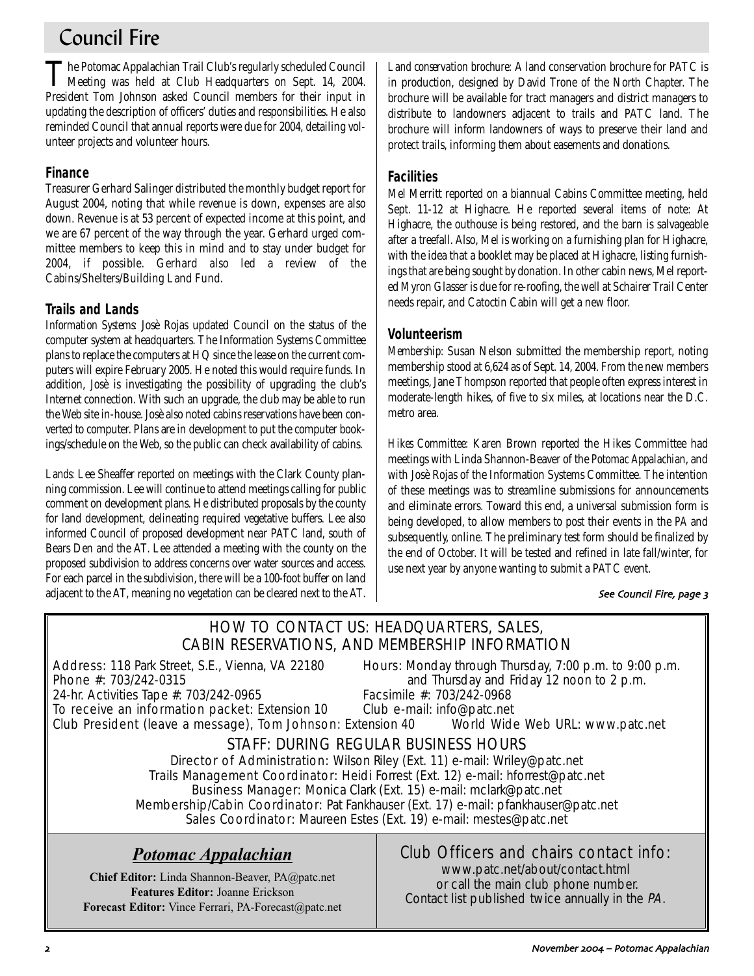## Council Fire

The Potomac Appalachian Trail Club's regularly scheduled Council<br>Meeting was held at Club Headquarters on Sept. 14, 2004. President Tom Johnson asked Council members for their input in updating the description of officers' duties and responsibilities. He also reminded Council that annual reports were due for 2004, detailing volunteer projects and volunteer hours.

## **Finance**

Treasurer Gerhard Salinger distributed the monthly budget report for August 2004, noting that while revenue is down, expenses are also down. Revenue is at 53 percent of expected income at this point, and we are 67 percent of the way through the year. Gerhard urged committee members to keep this in mind and to stay under budget for 2004, if possible. Gerhard also led a review of the Cabins/Shelters/Building Land Fund.

## **Trails and Lands**

*Information Systems:* Josè Rojas updated Council on the status of the computer system at headquarters. The Information Systems Committee plans to replace the computers at HQ since the lease on the current computers will expire February 2005. He noted this would require funds. In addition, Josè is investigating the possibility of upgrading the club's Internet connection. With such an upgrade, the club may be able to run the Web site in-house. Josè also noted cabins reservations have been converted to computer. Plans are in development to put the computer bookings/schedule on the Web, so the public can check availability of cabins.

*Lands:* Lee Sheaffer reported on meetings with the Clark County planning commission. Lee will continue to attend meetings calling for public comment on development plans. He distributed proposals by the county for land development, delineating required vegetative buffers. Lee also informed Council of proposed development near PATC land, south of Bears Den and the AT. Lee attended a meeting with the county on the proposed subdivision to address concerns over water sources and access. For each parcel in the subdivision, there will be a 100-foot buffer on land adjacent to the AT, meaning no vegetation can be cleared next to the AT.

*Land conservation brochure:* A land conservation brochure for PATC is in production, designed by David Trone of the North Chapter. The brochure will be available for tract managers and district managers to distribute to landowners adjacent to trails and PATC land. The brochure will inform landowners of ways to preserve their land and protect trails, informing them about easements and donations.

## **Facilities**

Mel Merritt reported on a biannual Cabins Committee meeting, held Sept. 11-12 at Highacre. He reported several items of note: At Highacre, the outhouse is being restored, and the barn is salvageable after a treefall. Also, Mel is working on a furnishing plan for Highacre, with the idea that a booklet may be placed at Highacre, listing furnishings that are being sought by donation. In other cabin news, Mel reported Myron Glasser is due for re-roofing, the well at Schairer Trail Center needs repair, and Catoctin Cabin will get a new floor.

### **Volunteerism**

*Membership:* Susan Nelson submitted the membership report, noting membership stood at 6,624 as of Sept. 14, 2004. From the new members meetings, Jane Thompson reported that people often express interest in moderate-length hikes, of five to six miles, at locations near the D.C. metro area.

*Hikes Committee:* Karen Brown reported the Hikes Committee had meetings with Linda Shannon-Beaver of the *Potomac Appalachian*, and with Josè Rojas of the Information Systems Committee. The intention of these meetings was to streamline submissions for announcements and eliminate errors. Toward this end, a universal submission form is being developed, to allow members to post their events in the *PA* and subsequently, online. The preliminary test form should be finalized by the end of October. It will be tested and refined in late fall/winter, for use next year by anyone wanting to submit a PATC event.

### See Council Fire, page 3

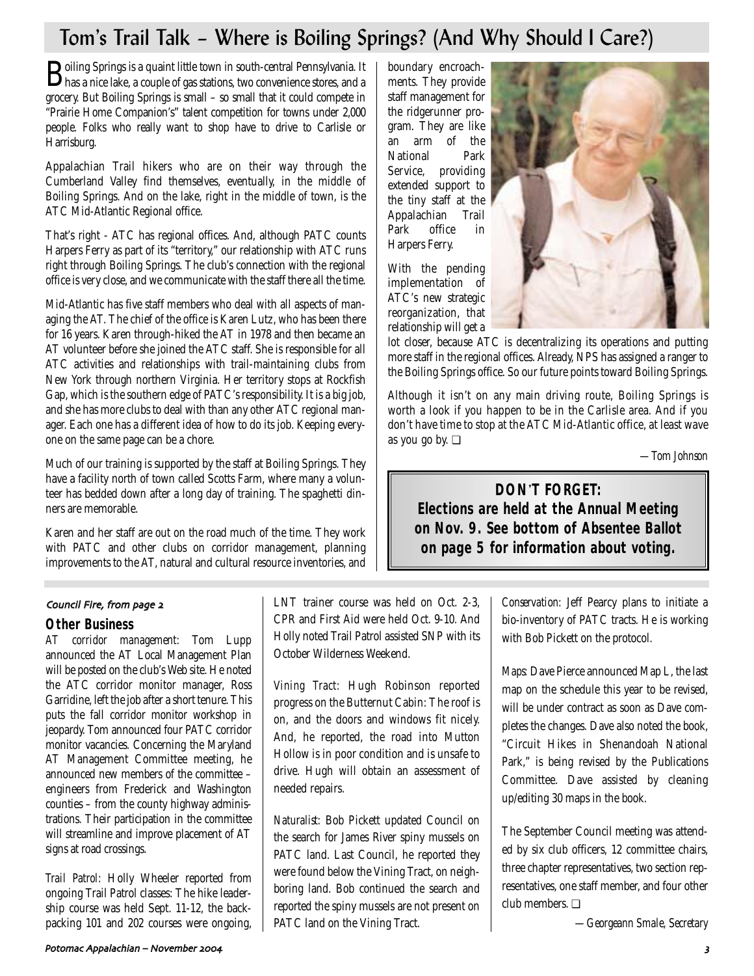## Tom's Trail Talk – Where is Boiling Springs? (And Why Should I Care?)

boundary encroachments. They provide staff management for the ridgerunner program. They are like

extended support to

Appalachian Trail Park office in Harpers Ferry.

With the pending implementation of ATC's new strategic reorganization, that relationship will get a

National

Boiling Springs is a quaint little town in south-central Pennsylvania. It has a nice lake, a couple of gas stations, two convenience stores, and a grocery. But Boiling Springs is small – so small that it could compete in "Prairie Home Companion's" talent competition for towns under 2,000 people. Folks who really want to shop have to drive to Carlisle or Harrisburg.

Appalachian Trail hikers who are on their way through the Cumberland Valley find themselves, eventually, in the middle of Boiling Springs. And on the lake, right in the middle of town, is the ATC Mid-Atlantic Regional office.

That's right - ATC has regional offices. And, although PATC counts Harpers Ferry as part of its "territory," our relationship with ATC runs right through Boiling Springs. The club's connection with the regional office is very close, and we communicate with the staff there all the time.

Mid-Atlantic has five staff members who deal with all aspects of managing the AT. The chief of the office is Karen Lutz, who has been there for 16 years. Karen through-hiked the AT in 1978 and then became an AT volunteer before she joined the ATC staff. She is responsible for all ATC activities and relationships with trail-maintaining clubs from New York through northern Virginia. Her territory stops at Rockfish Gap, which is the southern edge of PATC's responsibility. It is a big job, and she has more clubs to deal with than any other ATC regional manager. Each one has a different idea of how to do its job. Keeping everyone on the same page can be a chore.

Much of our training is supported by the staff at Boiling Springs. They have a facility north of town called Scotts Farm, where many a volunteer has bedded down after a long day of training. The spaghetti dinners are memorable.

Karen and her staff are out on the road much of the time. They work with PATC and other clubs on corridor management, planning improvements to the AT, natural and cultural resource inventories, and

#### Council Fire, from page 2

### **Other Business**

*AT corridor management:* Tom Lupp announced the AT Local Management Plan will be posted on the club's Web site. He noted the ATC corridor monitor manager, Ross Garridine, left the job after a short tenure. This puts the fall corridor monitor workshop in jeopardy. Tom announced four PATC corridor monitor vacancies. Concerning the Maryland AT Management Committee meeting, he announced new members of the committee – engineers from Frederick and Washington counties – from the county highway administrations. Their participation in the committee will streamline and improve placement of AT signs at road crossings.

*Trail Patrol:* Holly Wheeler reported from ongoing Trail Patrol classes: The hike leadership course was held Sept. 11-12, the backpacking 101 and 202 courses were ongoing,

LNT trainer course was held on Oct. 2-3, CPR and First Aid were held Oct. 9-10. And Holly noted Trail Patrol assisted SNP with its October Wilderness Weekend.

*Vining Tract:* Hugh Robinson reported progress on the Butternut Cabin: The roof is on, and the doors and windows fit nicely. And, he reported, the road into Mutton Hollow is in poor condition and is unsafe to drive. Hugh will obtain an assessment of needed repairs.

*Naturalist:* Bob Pickett updated Council on the search for James River spiny mussels on PATC land. Last Council, he reported they were found below the Vining Tract, on neighboring land. Bob continued the search and reported the spiny mussels are not present on PATC land on the Vining Tract.



lot closer, because ATC is decentralizing its operations and putting more staff in the regional offices. Already, NPS has assigned a ranger to the Boiling Springs office. So our future points toward Boiling Springs.

Although it isn't on any main driving route, Boiling Springs is worth a look if you happen to be in the Carlisle area. And if you don't have time to stop at the ATC Mid-Atlantic office, at least wave as you go by. ❏

*—Tom Johnson*

## **DON**'**T FORGET: Elections are held at the Annual Meeting on Nov. 9. See bottom of Absentee Ballot on page 5 for information about voting.**

*Conservation:* Jeff Pearcy plans to initiate a bio-inventory of PATC tracts. He is working with Bob Pickett on the protocol.

*Maps:* Dave Pierce announced Map L, the last map on the schedule this year to be revised, will be under contract as soon as Dave completes the changes. Dave also noted the book, "Circuit Hikes in Shenandoah National Park," is being revised by the Publications Committee. Dave assisted by cleaning up/editing 30 maps in the book.

The September Council meeting was attended by six club officers, 12 committee chairs, three chapter representatives, two section representatives, one staff member, and four other club members. ❏

*—Georgeann Smale, Secretary*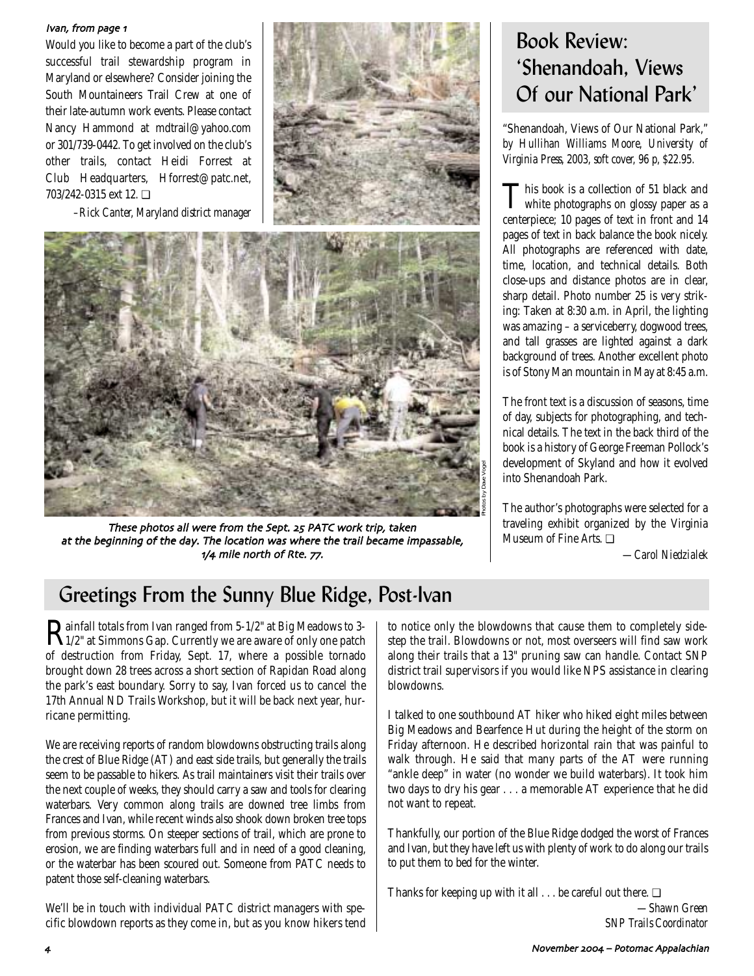#### Ivan, from page 1

Would you like to become a part of the club's successful trail stewardship program in Maryland or elsewhere? Consider joining the South Mountaineers Trail Crew at one of their late-autumn work events. Please contact Nancy Hammond at mdtrail@yahoo.com or 301/739-0442. To get involved on the club's other trails, contact Heidi Forrest at Club Headquarters, Hforrest@patc.net, 703/242-0315 ext 12. ❏

*–Rick Canter, Maryland district manager*





These photos all were from the Sept. 25 PATC work trip, taken at the beginning of the day. The location was where the trail became impassable,  $1/4$  mile north of Rte.  $77$ .

## Book Review: 'Shenandoah, Views Of our National Park'

"Shenandoah, Views of Our National Park," *by Hullihan Williams Moore, University of Virginia Press, 2003, soft cover, 96 p, \$22.95.*

This book is a collection of 51 black and white photographs on glossy paper as a centerpiece; 10 pages of text in front and 14 pages of text in back balance the book nicely. All photographs are referenced with date, time, location, and technical details. Both close-ups and distance photos are in clear, sharp detail. Photo number 25 is very striking: Taken at 8:30 a.m. in April, the lighting was amazing – a serviceberry, dogwood trees, and tall grasses are lighted against a dark background of trees. Another excellent photo is of Stony Man mountain in May at 8:45 a.m.

The front text is a discussion of seasons, time of day, subjects for photographing, and technical details. The text in the back third of the book is a history of George Freeman Pollock's development of Skyland and how it evolved into Shenandoah Park.

The author's photographs were selected for a traveling exhibit organized by the Virginia Museum of Fine Arts. ❏

*—Carol Niedzialek*

## Greetings From the Sunny Blue Ridge, Post-Ivan

Rainfall totals from Ivan ranged from 5-1/2" at Big Meadows to 3- 1/2" at Simmons Gap. Currently we are aware of only one patch of destruction from Friday, Sept. 17, where a possible tornado brought down 28 trees across a short section of Rapidan Road along the park's east boundary. Sorry to say, Ivan forced us to cancel the 17th Annual ND Trails Workshop, but it will be back next year, hurricane permitting.

We are receiving reports of random blowdowns obstructing trails along the crest of Blue Ridge (AT) and east side trails, but generally the trails seem to be passable to hikers. As trail maintainers visit their trails over the next couple of weeks, they should carry a saw and tools for clearing waterbars. Very common along trails are downed tree limbs from Frances and Ivan, while recent winds also shook down broken tree tops from previous storms. On steeper sections of trail, which are prone to erosion, we are finding waterbars full and in need of a good cleaning, or the waterbar has been scoured out. Someone from PATC needs to patent those self-cleaning waterbars.

We'll be in touch with individual PATC district managers with specific blowdown reports as they come in, but as you know hikers tend to notice only the blowdowns that cause them to completely sidestep the trail. Blowdowns or not, most overseers will find saw work along their trails that a 13" pruning saw can handle. Contact SNP district trail supervisors if you would like NPS assistance in clearing blowdowns.

Photos by Dave Vogel

I talked to one southbound AT hiker who hiked eight miles between Big Meadows and Bearfence Hut during the height of the storm on Friday afternoon. He described horizontal rain that was painful to walk through. He said that many parts of the AT were running "ankle deep" in water (no wonder we build waterbars). It took him two days to dry his gear . . . a memorable AT experience that he did not want to repeat.

Thankfully, our portion of the Blue Ridge dodged the worst of Frances and Ivan, but they have left us with plenty of work to do along our trails to put them to bed for the winter.

Thanks for keeping up with it all  $\dots$  be careful out there.  $\Box$ 

*—Shawn Green SNP Trails Coordinator*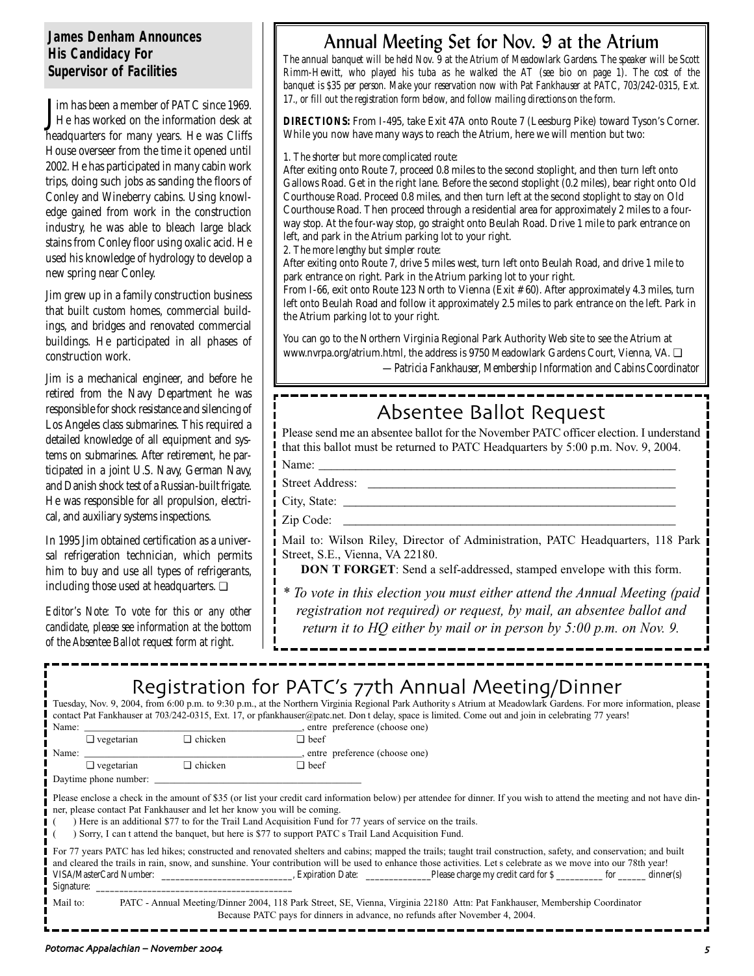### **James Denham Announces His Candidacy For Supervisor of Facilities**

**J** im has been a member of PATC since 1969.<br>He has worked on the information desk at im has been a member of PATC since 1969. headquarters for many years. He was Cliffs House overseer from the time it opened until 2002. He has participated in many cabin work trips, doing such jobs as sanding the floors of Conley and Wineberry cabins. Using knowledge gained from work in the construction industry, he was able to bleach large black stains from Conley floor using oxalic acid. He used his knowledge of hydrology to develop a new spring near Conley.

Jim grew up in a family construction business that built custom homes, commercial buildings, and bridges and renovated commercial buildings. He participated in all phases of construction work.

Jim is a mechanical engineer, and before he retired from the Navy Department he was responsible for shock resistance and silencing of Los Angeles class submarines. This required a detailed knowledge of all equipment and systems on submarines. After retirement, he participated in a joint U.S. Navy, German Navy, and Danish shock test of a Russian-built frigate. He was responsible for all propulsion, electrical, and auxiliary systems inspections.

In 1995 Jim obtained certification as a universal refrigeration technician, which permits him to buy and use all types of refrigerants, including those used at headquarters. ❏

*Editor's Note: To vote for this or any other candidate, please see information at the bottom of the Absentee Ballot request form at right.*

## Annual Meeting Set for Nov. 9 at the Atrium

*The annual banquet will be held Nov. 9 at the Atrium of Meadowlark Gardens. The speaker will be Scott Rimm-Hewitt, who played his tuba as he walked the AT (see bio on page 1). The cost of the banquet is \$35 per person. Make your reservation now with Pat Fankhauser at PATC, 703/242-0315, Ext. 17., or fill out the registration form below, and follow mailing directions on the form.* 

**DIRECTIONS:** From I-495, take Exit 47A onto Route 7 (Leesburg Pike) toward Tyson's Corner. While you now have many ways to reach the Atrium, here we will mention but two:

*1. The shorter but more complicated route:* 

After exiting onto Route 7, proceed 0.8 miles to the second stoplight, and then turn left onto Gallows Road. Get in the right lane. Before the second stoplight (0.2 miles), bear right onto Old Courthouse Road. Proceed 0.8 miles, and then turn left at the second stoplight to stay on Old Courthouse Road. Then proceed through a residential area for approximately 2 miles to a fourway stop. At the four-way stop, go straight onto Beulah Road. Drive 1 mile to park entrance on left, and park in the Atrium parking lot to your right.

*2. The more lengthy but simpler route:* 

After exiting onto Route 7, drive 5 miles west, turn left onto Beulah Road, and drive 1 mile to park entrance on right. Park in the Atrium parking lot to your right.

From I-66, exit onto Route 123 North to Vienna (Exit #60). After approximately 4.3 miles, turn left onto Beulah Road and follow it approximately 2.5 miles to park entrance on the left. Park in the Atrium parking lot to your right.

You can go to the Northern Virginia Regional Park Authority Web site to see the Atrium at www.nvrpa.org/atrium.html, the address is 9750 Meadowlark Gardens Court, Vienna, VA. ❏ *—Patricia Fankhauser, Membership Information and Cabins Coordinator*

## Absentee Ballot Request

Please send me an absentee ballot for the November PATC officer election. I understand that this ballot must be returned to PATC Headquarters by 5:00 p.m. Nov. 9, 2004.

Name: \_\_\_\_\_\_\_\_\_\_\_\_\_\_\_\_\_\_\_\_\_\_\_\_\_\_\_\_\_\_\_\_\_\_\_\_\_\_\_\_\_\_\_\_\_\_\_\_\_\_\_\_\_\_\_\_\_\_ Street Address:

City, State:

Zip Code:

Mail to: Wilson Riley, Director of Administration, PATC Headquarters, 118 Park Street, S.E., Vienna, VA 22180.

**DON T FORGET**: Send a self-addressed, stamped envelope with this form.

*\* To vote in this election you must either attend the Annual Meeting (paid registration not required) or request, by mail, an absentee ballot and return it to HQ either by mail or in person by 5:00 p.m. on Nov. 9.* 

## Registration for PATC's 77th Annual Meeting/Dinner

Tuesday, Nov. 9, 2004, from 6:00 p.m. to 9:30 p.m., at the Northern Virginia Regional Park Authority s Atrium at Meadowlark Gardens. For more information, please contact Pat Fankhauser at 703/242-0315, Ext. 17, or pfankhauser@patc.net. Don t delay, space is limited. Come out and join in celebrating 77 years!

Name:  $\frac{1}{\Box \text{ vegetation}}$  vegetarian  $\Box$  chicken  $\Box$  beef ❏ vegetarian ❏ chicken ❏ beef Name:  $\Box$  vegetarian  $\Box$  chicken  $\Box$  beef  $\Box$  $\Box$  vegetarian

Daytime phone number:

Please enclose a check in the amount of \$35 (or list your credit card information below) per attendee for dinner. If you wish to attend the meeting and not have dinner, please contact Pat Fankhauser and let her know you will be coming.

( ) Here is an additional \$77 to for the Trail Land Acquisition Fund for 77 years of service on the trails.

( ) Sorry, I can t attend the banquet, but here is \$77 to support PATC s Trail Land Acquisition Fund.

| For 77 years PATC has led hikes; constructed and renovated shelters and cabins; mapped the trails; taught trail construction, safety, and conservation; and built |  |                         |                                                                                                                             |  |           |
|-------------------------------------------------------------------------------------------------------------------------------------------------------------------|--|-------------------------|-----------------------------------------------------------------------------------------------------------------------------|--|-----------|
| and cleared the trails in rain, snow, and sunshine. Your contribution will be used to enhance those activities. Let s celebrate as we move into our 78th year!    |  |                         |                                                                                                                             |  |           |
| VISA/MasterCard Number:                                                                                                                                           |  | <b>Expiration Date:</b> | Please charge my credit card for \$ for                                                                                     |  | dinner(s) |
| Signature:                                                                                                                                                        |  |                         |                                                                                                                             |  |           |
| Mail to:                                                                                                                                                          |  |                         | PATC - Annual Meeting/Dinner 2004, 118 Park Street, SE, Vienna, Virginia 22180 Attn: Pat Fankhauser, Membership Coordinator |  |           |

Because PATC pays for dinners in advance, no refunds after November 4, 2004.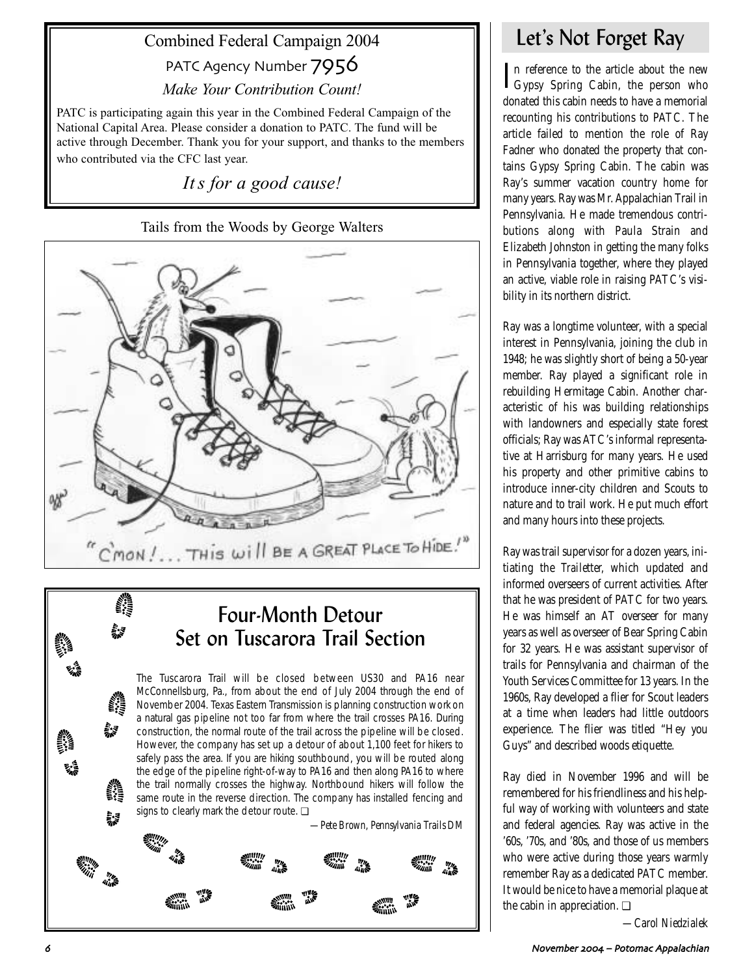## Combined Federal Campaign 2004

PATC Agency Number 7956

*Make Your Contribution Count!*

PATC is participating again this year in the Combined Federal Campaign of the National Capital Area. Please consider a donation to PATC. The fund will be active through December. Thank you for your support, and thanks to the members who contributed via the CFC last year.

*It s for a good cause!*

## Tails from the Woods by George Walters



## Four-Month Detour Set on Tuscarora Trail Section

The Tuscarora Trail will be closed between US30 and PA16 near McConnellsburg, Pa., from about the end of July 2004 through the end of November 2004. Texas Eastern Transmission is planning construction work on a natural gas pipeline not too far from where the trail crosses PA16. During construction, the normal route of the trail across the pipeline will be closed. However, the company has set up a detour of about 1,100 feet for hikers to safely pass the area. If you are hiking southbound, you will be routed along the edge of the pipeline right-of-way to PA16 and then along PA16 to where the trail normally crosses the highway. Northbound hikers will follow the same route in the reverse direction. The company has installed fencing and signs to clearly mark the detour route. <sup>□</sup>



## Let's Not Forget Ray

In reference to the article about the new  $\Gamma_{\text{Gypsy}}$  Spring Cabin, the person who n reference to the article about the new donated this cabin needs to have a memorial recounting his contributions to PATC. The article failed to mention the role of Ray Fadner who donated the property that contains Gypsy Spring Cabin. The cabin was Ray's summer vacation country home for many years. Ray was Mr. Appalachian Trail in Pennsylvania. He made tremendous contributions along with Paula Strain and Elizabeth Johnston in getting the many folks in Pennsylvania together, where they played an active, viable role in raising PATC's visibility in its northern district.

Ray was a longtime volunteer, with a special interest in Pennsylvania, joining the club in 1948; he was slightly short of being a 50-year member. Ray played a significant role in rebuilding Hermitage Cabin. Another characteristic of his was building relationships with landowners and especially state forest officials; Ray was ATC's informal representative at Harrisburg for many years. He used his property and other primitive cabins to introduce inner-city children and Scouts to nature and to trail work. He put much effort and many hours into these projects.

Ray was trail supervisor for a dozen years, initiating the *Trailetter,* which updated and informed overseers of current activities. After that he was president of PATC for two years. He was himself an AT overseer for many years as well as overseer of Bear Spring Cabin for 32 years. He was assistant supervisor of trails for Pennsylvania and chairman of the Youth Services Committee for 13 years. In the 1960s, Ray developed a flier for Scout leaders at a time when leaders had little outdoors experience. The flier was titled "Hey you Guys" and described woods etiquette.

Ray died in November 1996 and will be remembered for his friendliness and his helpful way of working with volunteers and state and federal agencies. Ray was active in the '60s, '70s, and '80s, and those of us members who were active during those years warmly remember Ray as a dedicated PATC member. It would be nice to have a memorial plaque at the cabin in appreciation. ❏

*—Carol Niedzialek*

**SANA**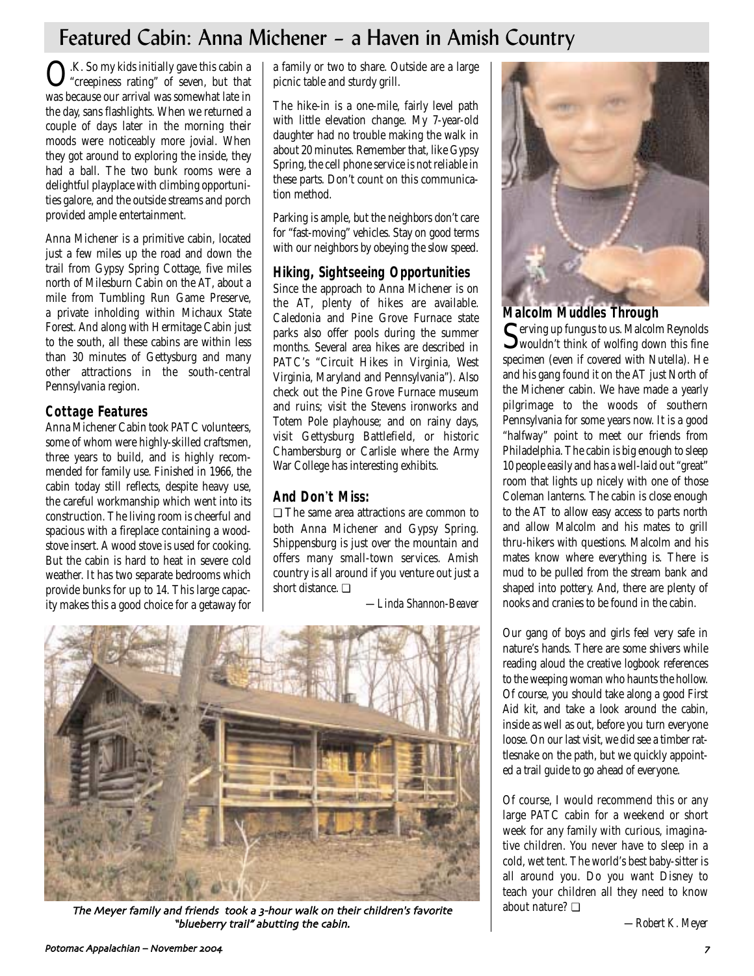## Featured Cabin: Anna Michener – a Haven in Amish Country

O.K. So my kids initially gave this cabin a "creepiness rating" of seven, but that was because our arrival was somewhat late in the day, sans flashlights. When we returned a couple of days later in the morning their moods were noticeably more jovial. When they got around to exploring the inside, they had a ball. The two bunk rooms were a delightful playplace with climbing opportunities galore, and the outside streams and porch provided ample entertainment.

Anna Michener is a primitive cabin, located just a few miles up the road and down the trail from Gypsy Spring Cottage, five miles north of Milesburn Cabin on the AT, about a mile from Tumbling Run Game Preserve, a private inholding within Michaux State Forest. And along with Hermitage Cabin just to the south, all these cabins are within less than 30 minutes of Gettysburg and many other attractions in the south-central Pennsylvania region.

### **Cottage Features**

Anna Michener Cabin took PATC volunteers, some of whom were highly-skilled craftsmen, three years to build, and is highly recommended for family use. Finished in 1966, the cabin today still reflects, despite heavy use, the careful workmanship which went into its construction. The living room is cheerful and spacious with a fireplace containing a woodstove insert. A wood stove is used for cooking. But the cabin is hard to heat in severe cold weather. It has two separate bedrooms which provide bunks for up to 14. This large capacity makes this a good choice for a getaway for a family or two to share. Outside are a large picnic table and sturdy grill.

The hike-in is a one-mile, fairly level path with little elevation change. My 7-year-old daughter had no trouble making the walk in about 20 minutes. Remember that, like Gypsy Spring, the cell phone service is not reliable in these parts. Don't count on this communication method.

Parking is ample, but the neighbors don't care for "fast-moving" vehicles. Stay on good terms with our neighbors by obeying the slow speed.

### **Hiking, Sightseeing Opportunities**

Since the approach to Anna Michener is on the AT, plenty of hikes are available. Caledonia and Pine Grove Furnace state parks also offer pools during the summer months. Several area hikes are described in PATC's "Circuit Hikes in Virginia, West Virginia, Maryland and Pennsylvania"). Also check out the Pine Grove Furnace museum and ruins; visit the Stevens ironworks and Totem Pole playhouse; and on rainy days, visit Gettysburg Battlefield, or historic Chambersburg or Carlisle where the Army War College has interesting exhibits.

## **And Don**'**t Miss:**

❏ The same area attractions are common to both Anna Michener and Gypsy Spring. Shippensburg is just over the mountain and offers many small-town services. Amish country is all around if you venture out just a short distance. ❏

*—Linda Shannon-Beaver*



The Meyer family and friends took a 3-hour walk on their children's favorite "blueberry trail" abutting the cabin.



### **Malcolm Muddles Through**

Serving up fungus to us. Malcolm Reynolds wouldn't think of wolfing down this fine specimen (even if covered with Nutella). He and his gang found it on the AT just North of the Michener cabin. We have made a yearly pilgrimage to the woods of southern Pennsylvania for some years now. It is a good "halfway" point to meet our friends from Philadelphia. The cabin is big enough to sleep 10 people easily and has a well-laid out "great" room that lights up nicely with one of those Coleman lanterns. The cabin is close enough to the AT to allow easy access to parts north and allow Malcolm and his mates to grill thru-hikers with questions. Malcolm and his mates know where everything is. There is mud to be pulled from the stream bank and shaped into pottery. And, there are plenty of nooks and cranies to be found in the cabin.

Our gang of boys and girls feel very safe in nature's hands. There are some shivers while reading aloud the creative logbook references to the weeping woman who haunts the hollow. Of course, you should take along a good First Aid kit, and take a look around the cabin, inside as well as out, before you turn everyone loose. On our last visit, we did see a timber rattlesnake on the path, but we quickly appointed a trail guide to go ahead of everyone.

Of course, I would recommend this or any large PATC cabin for a weekend or short week for any family with curious, imaginative children. You never have to sleep in a cold, wet tent. The world's best baby-sitter is all around you. Do you want Disney to teach your children all they need to know about nature? ❏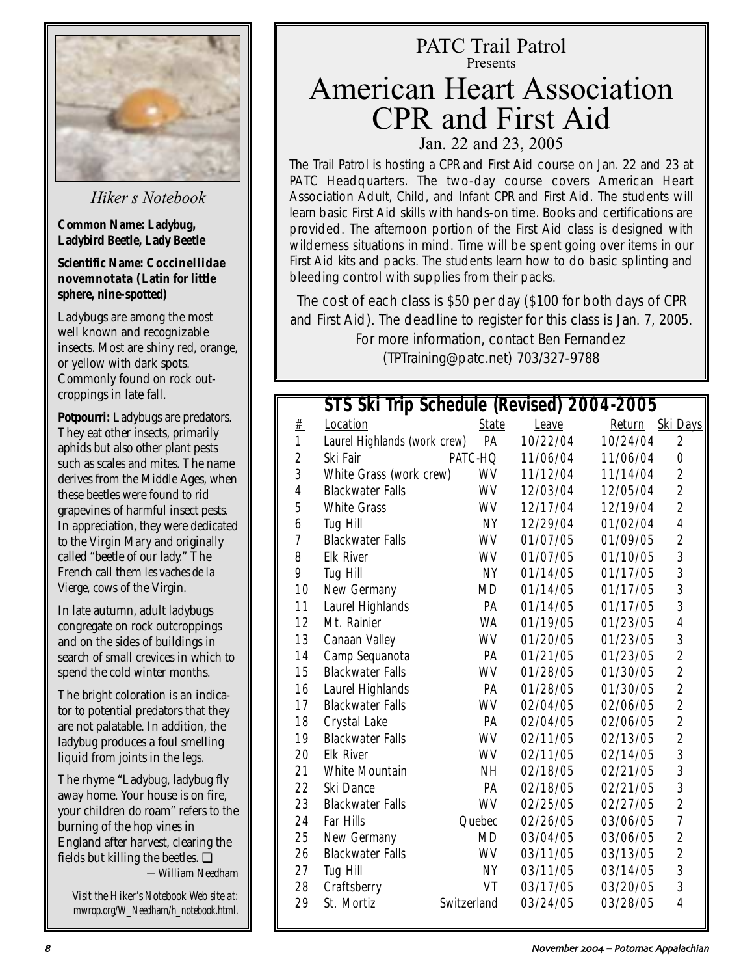

*Hiker s Notebook*

**Common Name: Ladybug, Ladybird Beetle, Lady Beetle** 

**Scientific Name: Coccinellidae novemnotata (Latin for little sphere, nine-spotted)**

Ladybugs are among the most well known and recognizable insects. Most are shiny red, orange, or yellow with dark spots. Commonly found on rock outcroppings in late fall.

**Potpourri:** Ladybugs are predators. They eat other insects, primarily aphids but also other plant pests such as scales and mites. The name derives from the Middle Ages, when these beetles were found to rid grapevines of harmful insect pests. In appreciation, they were dedicated to the Virgin Mary and originally called "beetle of our lady." The French call them *les vaches de la Vierge*, cows of the Virgin.

In late autumn, adult ladybugs congregate on rock outcroppings and on the sides of buildings in search of small crevices in which to spend the cold winter months.

The bright coloration is an indicator to potential predators that they are not palatable. In addition, the ladybug produces a foul smelling liquid from joints in the legs.

The rhyme "Ladybug, ladybug fly away home. Your house is on fire, your children do roam" refers to the burning of the hop vines in England after harvest, clearing the fields but killing the beetles. ❏ *—William Needham*

*Visit the Hiker's Notebook Web site at: mwrop.org/W\_Needham/h\_notebook.html.*

# PATC Trail Patrol Presents

## American Heart Association CPR and First Aid Jan. 22 and 23, 2005

The Trail Patrol is hosting a CPR and First Aid course on Jan. 22 and 23 at PATC Headquarters. The two-day course covers American Heart Association Adult, Child, and Infant CPR and First Aid. The students will learn basic First Aid skills with hands-on time. Books and certifications are provided. The afternoon portion of the First Aid class is designed with wilderness situations in mind. Time will be spent going over items in our First Aid kits and packs. The students learn how to do basic splinting and bleeding control with supplies from their packs.

The cost of each class is \$50 per day (\$100 for both days of CPR and First Aid). The deadline to register for this class is Jan. 7, 2005.

> For more information, contact Ben Fernandez (TPTraining@patc.net) 703/327-9788

## **STS Ski Trip Schedule (Revised) 2004-2005**

| #                | Location                     | <b>State</b>       | <b>Leave</b> | Return   | <b>Ski Days</b>         |
|------------------|------------------------------|--------------------|--------------|----------|-------------------------|
| $\mathbf{1}$     | Laurel Highlands (work crew) | PA                 | 10/22/04     | 10/24/04 | $\boldsymbol{2}$        |
| $\boldsymbol{2}$ | Ski Fair                     | PATC-HQ            | 11/06/04     | 11/06/04 | $\bf{0}$                |
| 3                | White Grass (work crew)      | <b>WV</b>          | 11/12/04     | 11/14/04 | $\boldsymbol{2}$        |
| $\boldsymbol{4}$ | <b>Blackwater Falls</b>      | <b>WV</b>          | 12/03/04     | 12/05/04 | $\overline{\mathbf{c}}$ |
| $\overline{5}$   | <b>White Grass</b>           | WV                 | 12/17/04     | 12/19/04 | $\boldsymbol{2}$        |
| $\boldsymbol{6}$ | <b>Tug Hill</b>              | <b>NY</b>          | 12/29/04     | 01/02/04 | $\overline{\mathbf{4}}$ |
| 7                | <b>Blackwater Falls</b>      | <b>WV</b>          | 01/07/05     | 01/09/05 | $\boldsymbol{2}$        |
| 8                | <b>Elk River</b>             | WV                 | 01/07/05     | 01/10/05 | 3                       |
| 9                | <b>Tug Hill</b>              | <b>NY</b>          | 01/14/05     | 01/17/05 | 3                       |
| 10               | <b>New Germany</b>           | MD                 | 01/14/05     | 01/17/05 | 3                       |
| 11               | <b>Laurel Highlands</b>      | PA                 | 01/14/05     | 01/17/05 | 3                       |
| 12               | Mt. Rainier                  | WA                 | 01/19/05     | 01/23/05 | $\boldsymbol{4}$        |
| 13               | <b>Canaan Valley</b>         | WV                 | 01/20/05     | 01/23/05 | 3                       |
| 14               | Camp Sequanota               | PA                 | 01/21/05     | 01/23/05 | $\overline{c}$          |
| 15               | <b>Blackwater Falls</b>      | WV                 | 01/28/05     | 01/30/05 | $\overline{c}$          |
| 16               | <b>Laurel Highlands</b>      | PA                 | 01/28/05     | 01/30/05 | $\overline{\mathbf{c}}$ |
| 17               | <b>Blackwater Falls</b>      | WV                 | 02/04/05     | 02/06/05 | $\overline{c}$          |
| 18               | <b>Crystal Lake</b>          | PA                 | 02/04/05     | 02/06/05 | $\boldsymbol{2}$        |
| 19               | <b>Blackwater Falls</b>      | WV                 | 02/11/05     | 02/13/05 | $\overline{c}$          |
| 20               | <b>Elk River</b>             | WV                 | 02/11/05     | 02/14/05 | 3                       |
| 21               | <b>White Mountain</b>        | NH                 | 02/18/05     | 02/21/05 | 3                       |
| 22               | <b>Ski Dance</b>             | PA                 | 02/18/05     | 02/21/05 | 3                       |
| 23               | <b>Blackwater Falls</b>      | <b>WV</b>          | 02/25/05     | 02/27/05 | $\boldsymbol{2}$        |
| 24               | <b>Far Hills</b>             | Quebec             | 02/26/05     | 03/06/05 | 7                       |
| 25               | <b>New Germany</b>           | <b>MD</b>          | 03/04/05     | 03/06/05 | $\boldsymbol{2}$        |
| 26               | <b>Blackwater Falls</b>      | WV                 | 03/11/05     | 03/13/05 | $\overline{\mathbf{c}}$ |
| 27               | <b>Tug Hill</b>              | NY                 | 03/11/05     | 03/14/05 | 3                       |
| 28               | Craftsberry                  | <b>VT</b>          | 03/17/05     | 03/20/05 | 3                       |
| 29               | St. Mortiz                   | <b>Switzerland</b> | 03/24/05     | 03/28/05 | $\overline{\mathbf{4}}$ |
|                  |                              |                    |              |          |                         |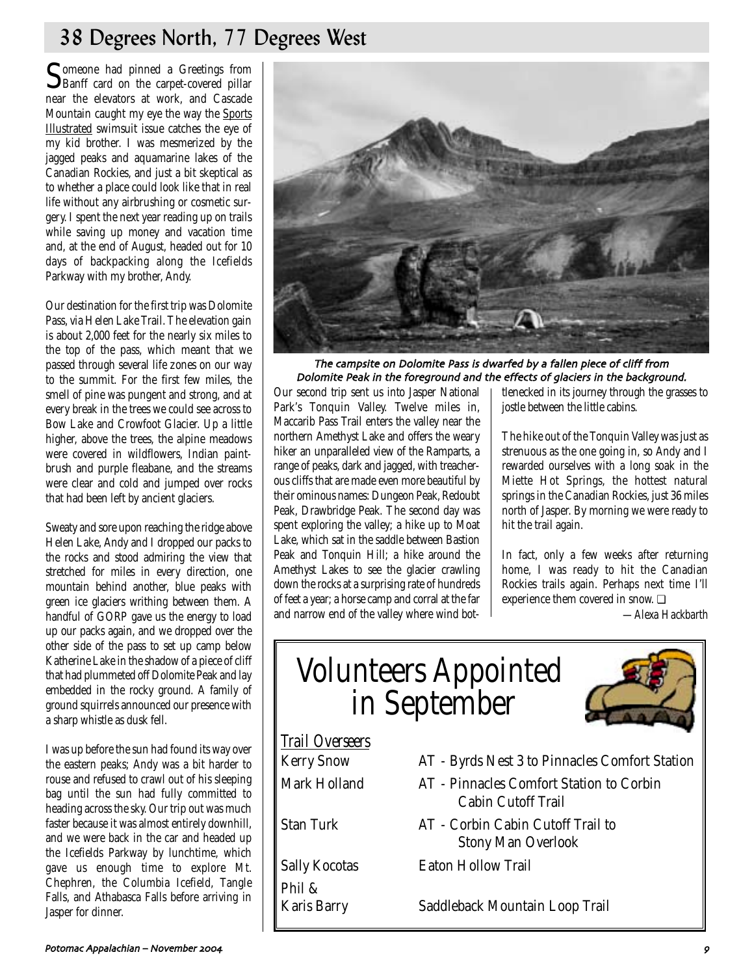## 38 Degrees North, 77 Degrees West

Someone had pinned a Greetings from<br>Banff card on the carpet-covered pillar near the elevators at work, and Cascade Mountain caught my eye the way the Sports Illustrated swimsuit issue catches the eye of my kid brother. I was mesmerized by the jagged peaks and aquamarine lakes of the Canadian Rockies, and just a bit skeptical as to whether a place could look like that in real life without any airbrushing or cosmetic surgery. I spent the next year reading up on trails while saving up money and vacation time and, at the end of August, headed out for 10 days of backpacking along the Icefields Parkway with my brother, Andy.

Our destination for the first trip was Dolomite Pass, via Helen Lake Trail. The elevation gain is about 2,000 feet for the nearly six miles to the top of the pass, which meant that we passed through several life zones on our way to the summit. For the first few miles, the smell of pine was pungent and strong, and at every break in the trees we could see across to Bow Lake and Crowfoot Glacier. Up a little higher, above the trees, the alpine meadows were covered in wildflowers, Indian paintbrush and purple fleabane, and the streams were clear and cold and jumped over rocks that had been left by ancient glaciers.

Sweaty and sore upon reaching the ridge above Helen Lake, Andy and I dropped our packs to the rocks and stood admiring the view that stretched for miles in every direction, one mountain behind another, blue peaks with green ice glaciers writhing between them. A handful of GORP gave us the energy to load up our packs again, and we dropped over the other side of the pass to set up camp below Katherine Lake in the shadow of a piece of cliff that had plummeted off Dolomite Peak and lay embedded in the rocky ground. A family of ground squirrels announced our presence with a sharp whistle as dusk fell.

I was up before the sun had found its way over the eastern peaks; Andy was a bit harder to rouse and refused to crawl out of his sleeping bag until the sun had fully committed to heading across the sky. Our trip out was much faster because it was almost entirely downhill, and we were back in the car and headed up the Icefields Parkway by lunchtime, which gave us enough time to explore Mt. Chephren, the Columbia Icefield, Tangle Falls, and Athabasca Falls before arriving in Jasper for dinner.



The campsite on Dolomite Pass is dwarfed by a fallen piece of cliff from Dolomite Peak in the foreground and the effects of glaciers in the background.

Our second trip sent us into Jasper National Park's Tonquin Valley. Twelve miles in, Maccarib Pass Trail enters the valley near the northern Amethyst Lake and offers the weary hiker an unparalleled view of the Ramparts, a range of peaks, dark and jagged, with treacherous cliffs that are made even more beautiful by their ominous names: Dungeon Peak, Redoubt Peak, Drawbridge Peak. The second day was spent exploring the valley; a hike up to Moat Lake, which sat in the saddle between Bastion Peak and Tonquin Hill; a hike around the Amethyst Lakes to see the glacier crawling down the rocks at a surprising rate of hundreds of feet a year; a horse camp and corral at the far and narrow end of the valley where wind bot-

tlenecked in its journey through the grasses to jostle between the little cabins.

The hike out of the Tonquin Valley was just as strenuous as the one going in, so Andy and I rewarded ourselves with a long soak in the Miette Hot Springs, the hottest natural springs in the Canadian Rockies, just 36 miles north of Jasper. By morning we were ready to hit the trail again.

In fact, only a few weeks after returning home, I was ready to hit the Canadian Rockies trails again. Perhaps next time I'll experience them covered in snow. ❏

*—Alexa Hackbarth*

# Volunteers Appointed in September



| <b>Trail Overseers</b>          |                                                                       |
|---------------------------------|-----------------------------------------------------------------------|
| <b>Kerry Snow</b>               | AT - Byrds Nest 3 to Pinnacles Comfort Station                        |
| Mark Holland                    | AT - Pinnacles Comfort Station to Corbin<br><b>Cabin Cutoff Trail</b> |
| <b>Stan Turk</b>                | AT - Corbin Cabin Cutoff Trail to<br><b>Stony Man Overlook</b>        |
| <b>Sally Kocotas</b>            | <b>Eaton Hollow Trail</b>                                             |
| Phil $\&$<br><b>Karis Barry</b> | Saddleback Mountain Loop Trail                                        |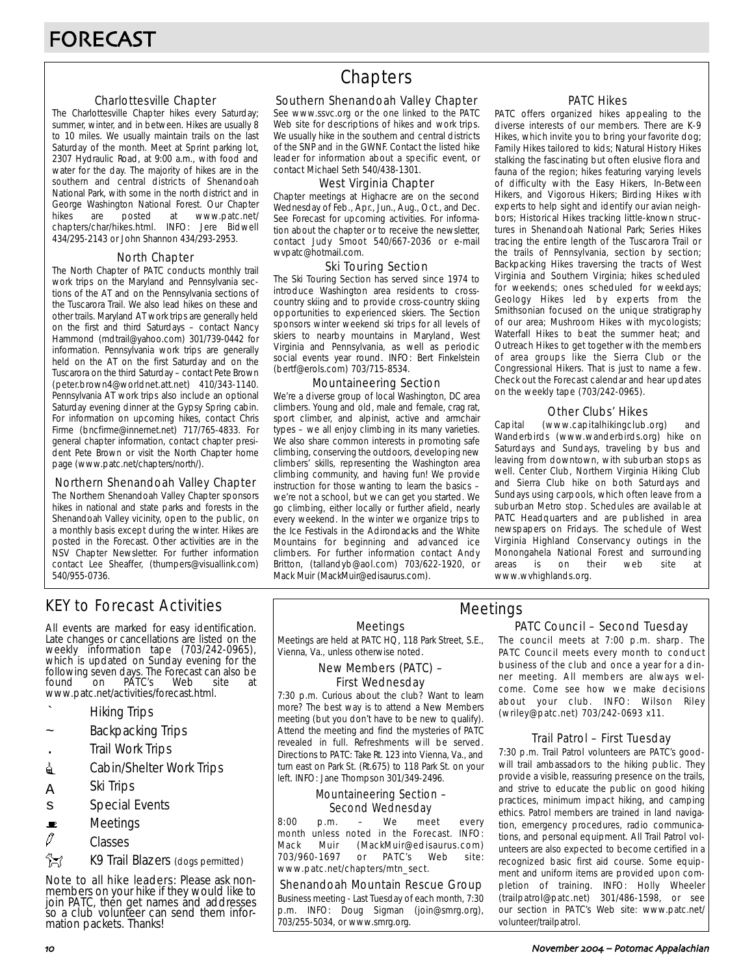#### Charlottesville Chapter

The Charlottesville Chapter hikes every Saturday; summer, winter, and in between. Hikes are usually 8 to 10 miles. We usually maintain trails on the last Saturday of the month. Meet at Sprint parking lot, 2307 Hydraulic Road, at 9:00 a.m., with food and water for the day. The majority of hikes are in the southern and central districts of Shenandoah National Park, with some in the north district and in George Washington National Forest. Our Chapter<br>hikes are posted at www.patc.net/ hikes are posted at www.patc.net/ chapters/char/hikes.html. INFO: Jere Bidwell 434/295-2143 or John Shannon 434/293-2953.

#### North Chapter

The North Chapter of PATC conducts monthly trail work trips on the Maryland and Pennsylvania sections of the AT and on the Pennsylvania sections of the Tuscarora Trail. We also lead hikes on these and other trails. Maryland AT work trips are generally held on the first and third Saturdays – contact Nancy Hammond (mdtrail@yahoo.com) 301/739-0442 for information. Pennsylvania work trips are generally held on the AT on the first Saturday and on the Tuscarora on the third Saturday – contact Pete Brown (peter.brown4@worldnet.att.net) 410/343-1140. Pennsylvania AT work trips also include an optional Saturday evening dinner at the Gypsy Spring cabin. For information on upcoming hikes, contact Chris Firme (bncfirme@innernet.net) 717/765-4833. For general chapter information, contact chapter president Pete Brown or visit the North Chapter home page (www.patc.net/chapters/north/).

#### Northern Shenandoah Valley Chapter

The Northern Shenandoah Valley Chapter sponsors hikes in national and state parks and forests in the Shenandoah Valley vicinity, open to the public, on a monthly basis except during the winter. Hikes are posted in the Forecast. Other activities are in the NSV Chapter Newsletter. For further information contact Lee Sheaffer, (thumpers@visuallink.com) 540/955-0736.

## **Chapters**

#### Southern Shenandoah Valley Chapter

See www.ssvc.org or the one linked to the PATC Web site for descriptions of hikes and work trips. We usually hike in the southern and central districts of the SNP and in the GWNF. Contact the listed hike leader for information about a specific event, or contact Michael Seth 540/438-1301.

#### West Virginia Chapter

Chapter meetings at Highacre are on the second Wednesday of Feb., Apr., Jun., Aug., Oct., and Dec. See Forecast for upcoming activities. For information about the chapter or to receive the newsletter, contact Judy Smoot 540/667-2036 or e-mail wvpatc@hotmail.com.

#### Ski Touring Section

The Ski Touring Section has served since 1974 to introduce Washington area residents to crosscountry skiing and to provide cross-country skiing opportunities to experienced skiers. The Section sponsors winter weekend ski trips for all levels of skiers to nearby mountains in Maryland, West Virginia and Pennsylvania, as well as periodic social events year round. INFO: Bert Finkelstein (bertf@erols.com) 703/715-8534.

#### Mountaineering Section

We're a diverse group of local Washington, DC area climbers. Young and old, male and female, crag rat, sport climber, and alpinist, active and armchair types – we all enjoy climbing in its many varieties. We also share common interests in promoting safe climbing, conserving the outdoors, developing new climbers' skills, representing the Washington area climbing community, and having fun! We provide instruction for those wanting to learn the basics – we're not a school, but we can get you started. We go climbing, either locally or further afield, nearly every weekend. In the winter we organize trips to the Ice Festivals in the Adirondacks and the White Mountains for beginning and advanced ice climbers. For further information contact Andy Britton, (tallandyb@aol.com) 703/622-1920, or Mack Muir (MackMuir@edisaurus.com).

#### PATC Hikes

PATC offers organized hikes appealing to the diverse interests of our members. There are K-9 Hikes, which invite you to bring your favorite dog; Family Hikes tailored to kids; Natural History Hikes stalking the fascinating but often elusive flora and fauna of the region; hikes featuring varying levels of difficulty with the Easy Hikers, In-Between Hikers, and Vigorous Hikers; Birding Hikes with experts to help sight and identify our avian neighbors; Historical Hikes tracking little-known structures in Shenandoah National Park; Series Hikes tracing the entire length of the Tuscarora Trail or the trails of Pennsylvania, section by section; Backpacking Hikes traversing the tracts of West Virginia and Southern Virginia; hikes scheduled for weekends; ones scheduled for weekdays; Geology Hikes led by experts from the Smithsonian focused on the unique stratigraphy of our area; Mushroom Hikes with mycologists; Waterfall Hikes to beat the summer heat; and Outreach Hikes to get together with the members of area groups like the Sierra Club or the Congressional Hikers. That is just to name a few. Check out the Forecast calendar and hear updates on the weekly tape (703/242-0965).

#### Other Clubs' Hikes

Capital (www.capitalhikingclub.org) and Wanderbirds (www.wanderbirds.org) hike on Saturdays and Sundays, traveling by bus and leaving from downtown, with suburban stops as well. Center Club, Northern Virginia Hiking Club and Sierra Club hike on both Saturdays and Sundays using carpools, which often leave from a suburban Metro stop. Schedules are available at PATC Headquarters and are published in area newspapers on Fridays. The schedule of West Virginia Highland Conservancy outings in the Monongahela National Forest and surrounding<br>areas is on their web site at areas is on their web site at www.wvhighlands.org.

## KEY to Forecast Activities

All events are marked for easy identification. Late changes or cancellations are listed on the weekly information tape (703/242-0965), which is updated on Sunday evening for the following seven days. The Forecast can also be<br>found on PATC's Web site at PÁTC's www.patc.net/activities/forecast.html.

- ` Hiking Trips
- Backpacking Trips
- . Trail Work Trips
- **i** Cabin/Shelter Work Trips
- A Ski Trips
- s Special Events
- $\blacksquare$  Meetings
- $\varnothing$  Classes
- **EX** K9 Trail Blazers (dogs permitted)

Note to all hike leaders: Please ask nonmembers on your hike if they would like to join PATC, then get names and addresses so a club volunteer can send them information packets. Thanks!

#### Meetings

Meetings are held at PATC HQ, 118 Park Street, S.E., Vienna, Va., unless otherwise noted.

#### New Members (PATC) – First Wednesday

7:30 p.m. Curious about the club? Want to learn more? The best way is to attend a New Members meeting (but you don't have to be new to qualify). Attend the meeting and find the mysteries of PATC revealed in full. Refreshments will be served. Directions to PATC: Take Rt. 123 into Vienna, Va., and turn east on Park St. (Rt.675) to 118 Park St. on your left. INFO: Jane Thompson 301/349-2496.

#### Mountaineering Section – Second Wednesday

8:00 p.m. – We meet every month unless noted in the Forecast. INFO: Mack Muir (MackMuir@edisaurus.com) 703/960-1697 or PATC's Web site: www.patc.net/chapters/mtn\_sect.

#### Shenandoah Mountain Rescue Group

Business meeting - Last Tuesday of each month, 7:30 p.m. INFO: Doug Sigman (join@smrg.org), 703/255-5034, or www.smrg.org.

### PATC Council – Second Tuesday Meetings

The council meets at 7:00 p.m. sharp. The PATC Council meets every month to conduct business of the club and once a year for a dinner meeting. All members are always welcome. Come see how we make decisions about your club. INFO: Wilson Riley (wriley@patc.net) 703/242-0693 x11.

#### Trail Patrol – First Tuesday

7:30 p.m. Trail Patrol volunteers are PATC's goodwill trail ambassadors to the hiking public. They provide a visible, reassuring presence on the trails, and strive to educate the public on good hiking practices, minimum impact hiking, and camping ethics. Patrol members are trained in land navigation, emergency procedures, radio communications, and personal equipment. All Trail Patrol volunteers are also expected to become certified in a recognized basic first aid course. Some equipment and uniform items are provided upon completion of training. INFO: Holly Wheeler (trailpatrol@patc.net) 301/486-1598, or see our section in PATC's Web site: www.patc.net/ volunteer/trailpatrol.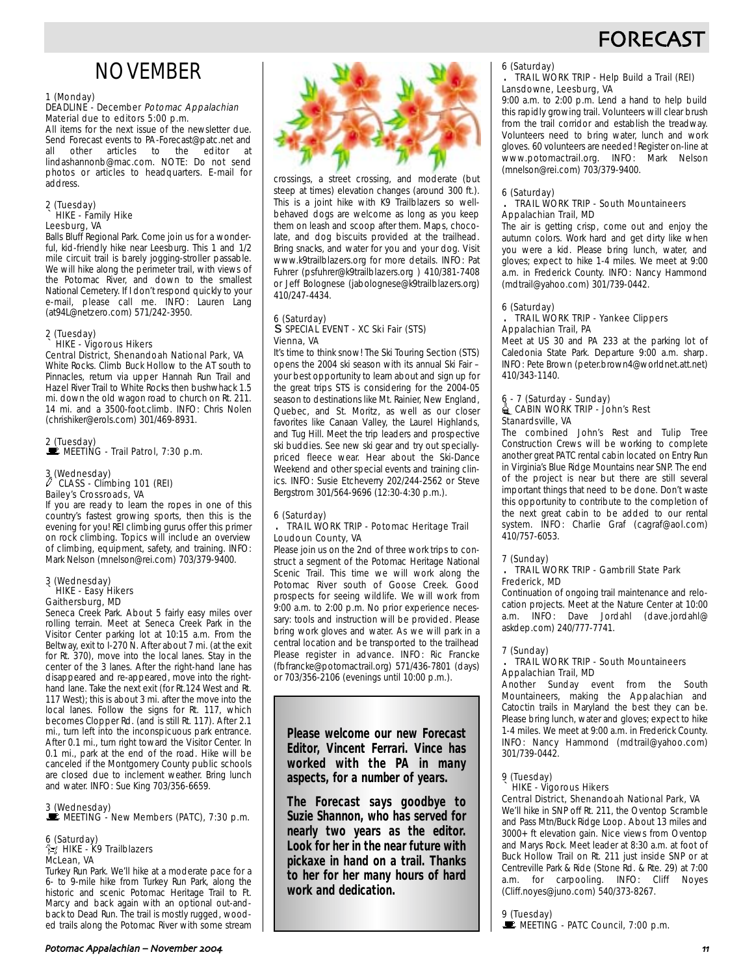## **FORECAS**

## NOVEMBER

#### 1 (Monday)

#### DEADLINE - December Potomac Appalachian Material due to editors 5:00 p.m.

All items for the next issue of the newsletter due. Send Forecast events to PA-Forecast@patc.net and<br>all other articles to the editor at all other articles to lindashannonb@mac.com. NOTE: Do not send photos or articles to headquarters. E-mail for address.

#### 2 (Tuesday) ` HIKE - Family Hike Leesburg, VA

Balls Bluff Regional Park. Come join us for a wonderful, kid-friendly hike near Leesburg. This 1 and 1/2 mile circuit trail is barely jogging-stroller passable. We will hike along the perimeter trail, with views of the Potomac River, and down to the smallest National Cemetery. If I don't respond quickly to your e-mail, please call me. INFO: Lauren Lang (at94L@netzero.com) 571/242-3950.

#### 2 (Tuesday) ` HIKE - Vigorous Hikers

Central District, Shenandoah National Park, VA White Rocks. Climb Buck Hollow to the AT south to Pinnacles, return via upper Hannah Run Trail and Hazel River Trail to White Rocks then bushwhack 1.5 mi. down the old wagon road to church on Rt. 211. 14 mi. and a 3500-foot.climb. INFO: Chris Nolen (chrishiker@erols.com) 301/469-8931.

#### 2 (Tuesday) MEETING - Trail Patrol, 7:30 p.m.

#### 3 (Wednesday) CLASS - Climbing 101 (REI) Bailey's Crossroads, VA

If you are ready to learn the ropes in one of this country's fastest growing sports, then this is the evening for you! REI climbing gurus offer this primer on rock climbing. Topics will include an overview of climbing, equipment, safety, and training. INFO: Mark Nelson (mnelson@rei.com) 703/379-9400.

#### 3 (Wednesday) ` HIKE - Easy Hikers Gaithersburg, MD

Seneca Creek Park. About 5 fairly easy miles over rolling terrain. Meet at Seneca Creek Park in the Visitor Center parking lot at 10:15 a.m. From the Beltway, exit to I-270 N. After about 7 mi. (at the exit for Rt. 370), move into the local lanes. Stay in the center of the 3 lanes. After the right-hand lane has disappeared and re-appeared, move into the righthand lane. Take the next exit (for Rt.124 West and Rt. 117 West); this is about 3 mi. after the move into the local lanes. Follow the signs for Rt. 117, which becomes Clopper Rd. (and is still Rt. 117). After 2.1 mi., turn left into the inconspicuous park entrance. After 0.1 mi., turn right toward the Visitor Center. In 0.1 mi., park at the end of the road. Hike will be canceled if the Montgomery County public schools are closed due to inclement weather. Bring lunch and water. INFO: Sue King 703/356-6659.

#### 3 (Wednesday)  $\mathbf{\mathbf{\mathbf{\mathbb{E}}}}$  MEETING - New Members (PATC), 7:30 p.m.

#### 6 (Saturday)  $\approx$  HIKE - K9 Trailblazers McLean, VA

Turkey Run Park. We'll hike at a moderate pace for a 6- to 9-mile hike from Turkey Run Park, along the historic and scenic Potomac Heritage Trail to Ft. Marcy and back again with an optional out-andback to Dead Run. The trail is mostly rugged, wooded trails along the Potomac River with some stream



crossings, a street crossing, and moderate (but steep at times) elevation changes (around 300 ft.). This is a joint hike with K9 Trailblazers so wellbehaved dogs are welcome as long as you keep them on leash and scoop after them. Maps, chocolate, and dog biscuits provided at the trailhead. Bring snacks, and water for you and your dog. Visit www.k9trailblazers.org for more details. INFO: Pat Fuhrer (psfuhrer@k9trailblazers.org ) 410/381-7408 or Jeff Bolognese (jabolognese@k9trailblazers.org) 410/247-4434.

#### 6 (Saturday) s SPECIAL EVENT - XC Ski Fair (STS) Vienna, VA

It's time to think snow! The Ski Touring Section (STS) opens the 2004 ski season with its annual Ski Fair – your best opportunity to learn about and sign up for the great trips STS is considering for the 2004-05 season to destinations like Mt. Rainier, New England, Quebec, and St. Moritz, as well as our closer favorites like Canaan Valley, the Laurel Highlands, and Tug Hill. Meet the trip leaders and prospective ski buddies. See new ski gear and try out speciallypriced fleece wear. Hear about the Ski-Dance Weekend and other special events and training clinics. INFO: Susie Etcheverry 202/244-2562 or Steve Bergstrom 301/564-9696 (12:30-4:30 p.m.).

## 6 (Saturday)

#### . TRAIL WORK TRIP - Potomac Heritage Trail Loudoun County, VA

Please join us on the 2nd of three work trips to construct a segment of the Potomac Heritage National Scenic Trail. This time we will work along the Potomac River south of Goose Creek. Good prospects for seeing wildlife. We will work from 9:00 a.m. to 2:00 p.m. No prior experience necessary: tools and instruction will be provided. Please bring work gloves and water. As we will park in a central location and be transported to the trailhead Please register in advance. INFO: Ric Francke (fbfrancke@potomactrail.org) 571/436-7801 (days) or 703/356-2106 (evenings until 10:00 p.m.).

**Please welcome our new Forecast Editor, Vincent Ferrari. Vince has worked with the** *PA* **in many aspects, for a number of years.** 

**The Forecast says goodbye to Suzie Shannon, who has served for nearly two years as the editor. Look for her in the near future with pickaxe in hand on a trail. Thanks to her for her many hours of hard work and dedication.**

#### 6 (Saturday)

#### . TRAIL WORK TRIP - Help Build a Trail (REI) Lansdowne, Leesburg, VA

9:00 a.m. to 2:00 p.m. Lend a hand to help build this rapidly growing trail. Volunteers will clear brush from the trail corridor and establish the treadway. Volunteers need to bring water, lunch and work gloves. 60 volunteers are needed! Register on-line at www.potomactrail.org. INFO: Mark Nelson (mnelson@rei.com) 703/379-9400.

#### 6 (Saturday)

#### . TRAIL WORK TRIP - South Mountaineers Appalachian Trail, MD

The air is getting crisp, come out and enjoy the autumn colors. Work hard and get dirty like when you were a kid. Please bring lunch, water, and gloves; expect to hike 1-4 miles. We meet at 9:00 a.m. in Frederick County. INFO: Nancy Hammond (mdtrail@yahoo.com) 301/739-0442.

#### 6 (Saturday)

#### . TRAIL WORK TRIP - Yankee Clippers Appalachian Trail, PA

Meet at US 30 and PA 233 at the parking lot of Caledonia State Park. Departure 9:00 a.m. sharp. INFO: Pete Brown (peter.brown4@worldnet.att.net) 410/343-1140.

#### 6 - 7 (Saturday - Sunday)  $\triangleq$  CABIN WORK TRIP - John's Rest Stanardsville, VA

The combined John's Rest and Tulip Tree Construction Crews will be working to complete another great PATC rental cabin located on Entry Run in Virginia's Blue Ridge Mountains near SNP. The end of the project is near but there are still several important things that need to be done. Don't waste this opportunity to contribute to the completion of the next great cabin to be added to our rental system. INFO: Charlie Graf (cagraf@aol.com) 410/757-6053.

#### 7 (Sunday)

#### . TRAIL WORK TRIP - Gambrill State Park Frederick, MD

Continuation of ongoing trail maintenance and relocation projects. Meet at the Nature Center at 10:00 a.m. INFO: Dave Jordahl (dave.jordahl@ askdep.com) 240/777-7741.

#### 7 (Sunday)

#### . TRAIL WORK TRIP - South Mountaineers Appalachian Trail, MD

Another Sunday event from the South Mountaineers, making the Appalachian and Catoctin trails in Maryland the best they can be. Please bring lunch, water and gloves; expect to hike 1-4 miles. We meet at 9:00 a.m. in Frederick County. INFO: Nancy Hammond (mdtrail@yahoo.com) 301/739-0442.

### 9 (Tuesday)

#### ` HIKE - Vigorous Hikers

Central District, Shenandoah National Park, VA

We'll hike in SNP off Rt. 211, the Oventop Scramble and Pass Mtn/Buck Ridge Loop. About 13 miles and 3000+ ft elevation gain. Nice views from Oventop and Marys Rock. Meet leader at 8:30 a.m. at foot of Buck Hollow Trail on Rt. 211 just inside SNP or at Centreville Park & Ride (Stone Rd. & Rte. 29) at 7:00 a.m. for carpooling. INFO: Cliff Noyes (Cliff.noyes@juno.com) 540/373-8267.

9 (Tuesday)

 $\mathbf{\dot{F}}$  MEETING - PATC Council, 7:00 p.m.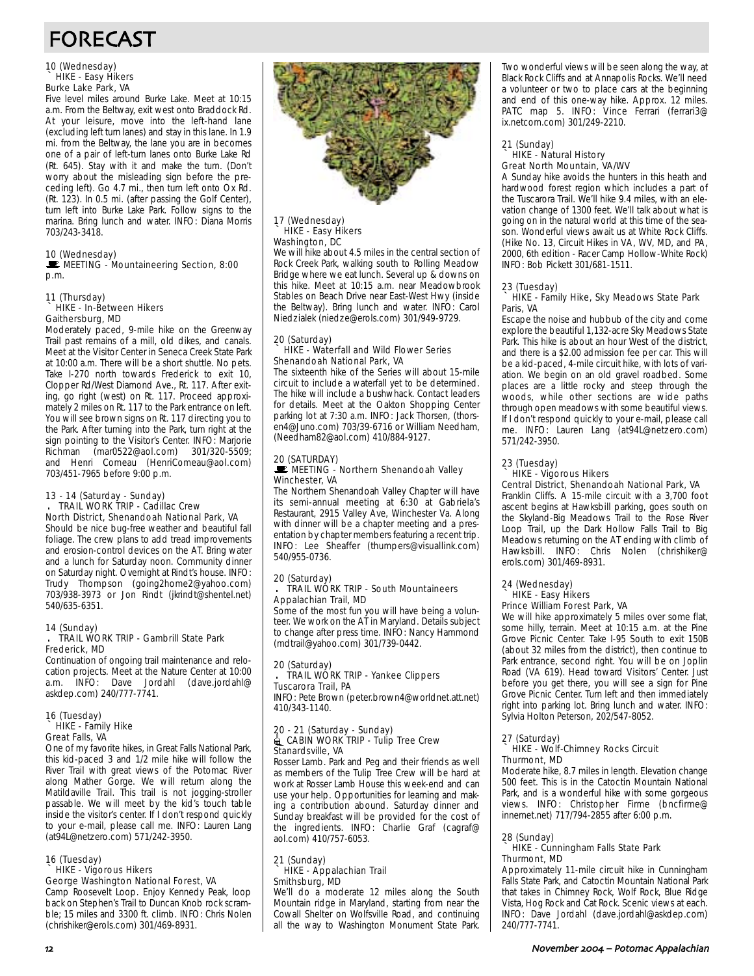## FORECAST

### 10 (Wednesday) ` HIKE - Easy Hikers Burke Lake Park, VA

Five level miles around Burke Lake. Meet at 10:15 a.m. From the Beltway, exit west onto Braddock Rd. At your leisure, move into the left-hand lane (excluding left turn lanes) and stay in this lane. In 1.9 mi. from the Beltway, the lane you are in becomes one of a pair of left-turn lanes onto Burke Lake Rd (Rt. 645). Stay with it and make the turn. (Don't worry about the misleading sign before the preceding left). Go 4.7 mi., then turn left onto Ox Rd. (Rt. 123). In 0.5 mi. (after passing the Golf Center), turn left into Burke Lake Park. Follow signs to the marina. Bring lunch and water. INFO: Diana Morris 703/243-3418.

10 (Wednesday)<br><u>Le MEETING</u> - Mountaineering Section, 8:00 p.m.

#### 11 (Thursday) ` HIKE - In-Between Hikers Gaithersburg, MD

Moderately paced, 9-mile hike on the Greenway Trail past remains of a mill, old dikes, and canals. Meet at the Visitor Center in Seneca Creek State Park at 10:00 a.m. There will be a short shuttle. No pets. Take I-270 north towards Frederick to exit 10, Clopper Rd/West Diamond Ave., Rt. 117. After exiting, go right (west) on Rt. 117. Proceed approximately 2 miles on Rt. 117 to the Park entrance on left. You will see brown signs on Rt. 117 directing you to the Park. After turning into the Park, turn right at the sign pointing to the Visitor's Center. INFO: Marjorie Richman (mar0522@aol.com) 301/320-5509; and Henri Comeau (HenriComeau@aol.com) 703/451-7965 before 9:00 p.m.

#### 13 - 14 (Saturday - Sunday) . TRAIL WORK TRIP - Cadillac Crew North District, Shenandoah National Park, VA

Should be nice bug-free weather and beautiful fall foliage. The crew plans to add tread improvements and erosion-control devices on the AT. Bring water and a lunch for Saturday noon. Community dinner on Saturday night. Overnight at Rindt's house. INFO: Trudy Thompson (going2home2@yahoo.com) 703/938-3973 or Jon Rindt (jkrindt@shentel.net) 540/635-6351.

#### 14 (Sunday) . TRAIL WORK TRIP - Gambrill State Park

#### Frederick, MD

Continuation of ongoing trail maintenance and relocation projects. Meet at the Nature Center at 10:00 a.m. INFO: Dave Jordahl (dave.jordahl@ askdep.com) 240/777-7741.

#### 16 (Tuesday) ` HIKE - Family Hike Great Falls, VA

One of my favorite hikes, in Great Falls National Park, this kid-paced 3 and 1/2 mile hike will follow the River Trail with great views of the Potomac River along Mather Gorge. We will return along the Matildaville Trail. This trail is not jogging-stroller passable. We will meet by the kid's touch table inside the visitor's center. If I don't respond quickly to your e-mail, please call me. INFO: Lauren Lang (at94L@netzero.com) 571/242-3950.

### 16 (Tuesday)

#### ` HIKE - Vigorous Hikers George Washington National Forest, VA

Camp Roosevelt Loop. Enjoy Kennedy Peak, loop back on Stephen's Trail to Duncan Knob rock scramble; 15 miles and 3300 ft. climb. INFO: Chris Nolen (chrishiker@erols.com) 301/469-8931.



#### 17 (Wednesday) HIKE - Easy Hikers Washington, DC

We will hike about 4.5 miles in the central section of Rock Creek Park, walking south to Rolling Meadow Bridge where we eat lunch. Several up & downs on this hike. Meet at 10:15 a.m. near Meadowbrook Stables on Beach Drive near East-West Hwy (inside the Beltway). Bring lunch and water. INFO: Carol Niedzialek (niedze@erols.com) 301/949-9729.

#### 20 (Saturday) ` HIKE - Waterfall and Wild Flower Series Shenandoah National Park, VA

The sixteenth hike of the Series will about 15-mile circuit to include a waterfall yet to be determined. The hike will include a bushwhack. Contact leaders for details. Meet at the Oakton Shopping Center parking lot at 7:30 a.m. INFO: Jack Thorsen, (thorsen4@Juno.com) 703/39-6716 or William Needham, (Needham82@aol.com) 410/884-9127.

### 20 (SATURDAY)

#### **WEETING - Northern Shenandoah Valley** Winchester, VA

The Northern Shenandoah Valley Chapter will have its semi-annual meeting at 6:30 at Gabriela's Restaurant, 2915 Valley Ave, Winchester Va. Along with dinner will be a chapter meeting and a presentation by chapter members featuring a recent trip. INFO: Lee Sheaffer (thumpers@visuallink.com) 540/955-0736.

#### 20 (Saturday) . TRAIL WORK TRIP - South Mountaineers Appalachian Trail, MD

Some of the most fun you will have being a volunteer. We work on the AT in Maryland. Details subject to change after press time. INFO: Nancy Hammond (mdtrail@yahoo.com) 301/739-0442.

## 20 (Saturday) . TRAIL WORK TRIP - Yankee Clippers

## Tuscarora Trail, PA

INFO: Pete Brown (peter.brown4@worldnet.att.net) 410/343-1140.

#### 20 - 21 (Saturday - Sunday) CABIN WORK TRIP - Tulip Tree Crew Stanardsville, VA

Rosser Lamb. Park and Peg and their friends as well as members of the Tulip Tree Crew will be hard at work at Rosser Lamb House this week-end and can use your help. Opportunities for learning and making a contribution abound. Saturday dinner and Sunday breakfast will be provided for the cost of the ingredients. INFO: Charlie Graf (cagraf@ aol.com) 410/757-6053.

#### 21 (Sunday) ` HIKE - Appalachian Trail Smithsburg, MD

We'll do a moderate 12 miles along the South Mountain ridge in Maryland, starting from near the Cowall Shelter on Wolfsville Road, and continuing all the way to Washington Monument State Park.

Two wonderful views will be seen along the way, at Black Rock Cliffs and at Annapolis Rocks. We'll need a volunteer or two to place cars at the beginning and end of this one-way hike. Approx. 12 miles. PATC map 5. INFO: Vince Ferrari (ferrari3@ ix.netcom.com) 301/249-2210.

## 21 (Sunday) ` HIKE - Natural History Great North Mountain, VA/WV

A Sunday hike avoids the hunters in this heath and hardwood forest region which includes a part of the Tuscarora Trail. We'll hike 9.4 miles, with an elevation change of 1300 feet. We'll talk about what is going on in the natural world at this time of the season. Wonderful views await us at White Rock Cliffs. (Hike No. 13, Circuit Hikes in VA, WV, MD, and PA, 2000, 6th edition - Racer Camp Hollow-White Rock) INFO: Bob Pickett 301/681-1511.

#### 23 (Tuesday)

#### ` HIKE - Family Hike, Sky Meadows State Park Paris, VA

Escape the noise and hubbub of the city and come explore the beautiful 1,132-acre Sky Meadows State Park. This hike is about an hour West of the district, and there is a \$2.00 admission fee per car. This will be a kid-paced, 4-mile circuit hike, with lots of variation. We begin on an old gravel roadbed. Some places are a little rocky and steep through the woods, while other sections are wide paths through open meadows with some beautiful views. If I don't respond quickly to your e-mail, please call me. INFO: Lauren Lang (at94L@netzero.com) 571/242-3950.

#### 23 (Tuesday) HIKE - Vigorous Hikers Central District, Shenandoah National Park, VA

Franklin Cliffs. A 15-mile circuit with a 3,700 foot ascent begins at Hawksbill parking, goes south on the Skyland-Big Meadows Trail to the Rose River Loop Trail, up the Dark Hollow Falls Trail to Big Meadows returning on the AT ending with climb of Hawksbill. INFO: Chris Nolen (chrishiker@ erols.com) 301/469-8931.

#### 24 (Wednesday) HIKE - Easy Hikers Prince William Forest Park, VA

We will hike approximately 5 miles over some flat, some hilly, terrain. Meet at 10:15 a.m. at the Pine Grove Picnic Center. Take I-95 South to exit 150B (about 32 miles from the district), then continue to Park entrance, second right. You will be on Joplin Road (VA 619). Head toward Visitors' Center. Just before you get there, you will see a sign for Pine Grove Picnic Center. Turn left and then immediately right into parking lot. Bring lunch and water. INFO: Sylvia Holton Peterson, 202/547-8052.

#### 27 (Saturday)

#### ` HIKE - Wolf-Chimney Rocks Circuit Thurmont, MD

Moderate hike, 8.7 miles in length. Elevation change 500 feet. This is in the Catoctin Mountain National Park, and is a wonderful hike with some gorgeous views. INFO: Christopher Firme (bncfirme@ innernet.net) 717/794-2855 after 6:00 p.m.

#### 28 (Sunday)

#### HIKE - Cunningham Falls State Park Thurmont, MD

Approximately 11-mile circuit hike in Cunningham Falls State Park, and Catoctin Mountain National Park that takes in Chimney Rock, Wolf Rock, Blue Ridge Vista, Hog Rock and Cat Rock. Scenic views at each. INFO: Dave Jordahl (dave.jordahl@askdep.com) 240/777-7741.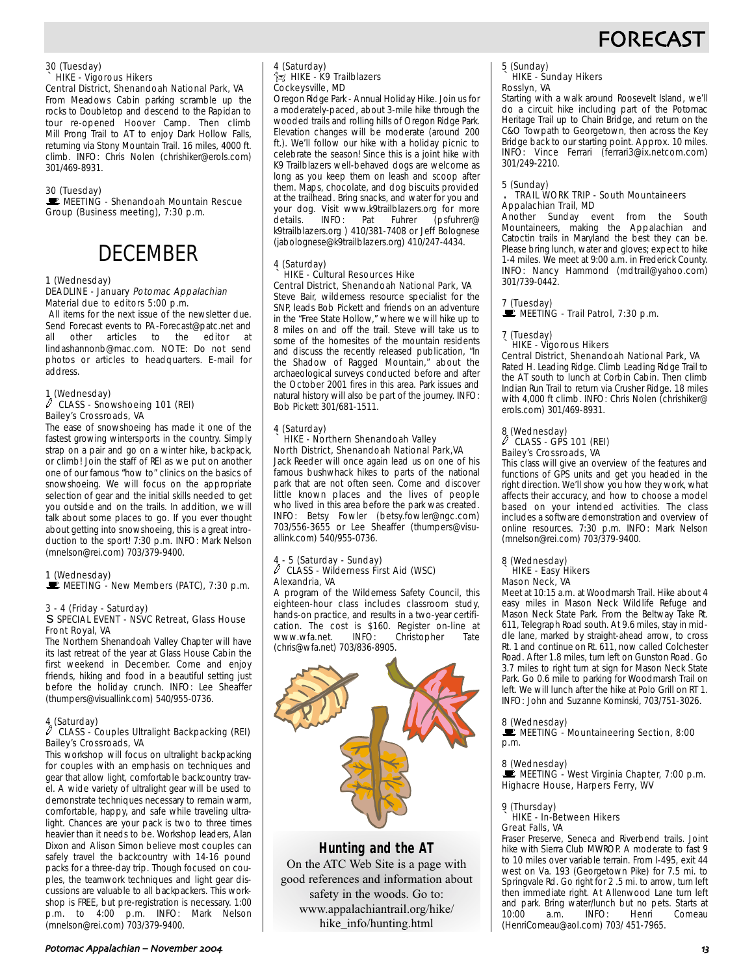## **FORECAS**

#### 30 (Tuesday) ` HIKE - Vigorous Hikers

Central District, Shenandoah National Park, VA From Meadows Cabin parking scramble up the rocks to Doubletop and descend to the Rapidan to tour re-opened Hoover Camp. Then climb Mill Prong Trail to AT to enjoy Dark Hollow Falls, returning via Stony Mountain Trail. 16 miles, 4000 ft. climb. INFO: Chris Nolen (chrishiker@erols.com) 301/469-8931.

#### 30 (Tuesday)

MEETING - Shenandoah Mountain Rescue Group (Business meeting), 7:30 p.m.

## DECEMBER

#### 1 (Wednesday)

#### DEADLINE - January Potomac Appalachian Material due to editors 5:00 p.m.

All items for the next issue of the newsletter due. Send Forecast events to PA-Forecast@patc.net and all other articles to the editor at lindashannonb@mac.com. NOTE: Do not send photos or articles to headquarters. E-mail for address.

#### 1 (Wednesday)  $\ell$  CLASS - Snowshoeing 101 (REI) Bailey's Crossroads, VA

The ease of snowshoeing has made it one of the fastest growing wintersports in the country. Simply strap on a pair and go on a winter hike, backpack, or climb! Join the staff of REI as we put on another one of our famous "how to" clinics on the basics of snowshoeing. We will focus on the appropriate selection of gear and the initial skills needed to get you outside and on the trails. In addition, we will talk about some places to go. If you ever thought about getting into snowshoeing, this is a great introduction to the sport! 7:30 p.m. INFO: Mark Nelson (mnelson@rei.com) 703/379-9400.

#### 1 (Wednesday)

 $\mathbf{E}$  MEETING - New Members (PATC), 7:30 p.m.

#### 3 - 4 (Friday - Saturday) s SPECIAL EVENT - NSVC Retreat, Glass House Front Royal, VA

The Northern Shenandoah Valley Chapter will have its last retreat of the year at Glass House Cabin the first weekend in December. Come and enjoy friends, hiking and food in a beautiful setting just before the holiday crunch. INFO: Lee Sheaffer (thumpers@visuallink.com) 540/955-0736.

#### 4 (Saturday)

#### $\ell$  CLASS - Couples Ultralight Backpacking (REI) Bailey's Crossroads, VA

This workshop will focus on ultralight backpacking for couples with an emphasis on techniques and gear that allow light, comfortable backcountry travel. A wide variety of ultralight gear will be used to demonstrate techniques necessary to remain warm, comfortable, happy, and safe while traveling ultralight. Chances are your pack is two to three times heavier than it needs to be. Workshop leaders, Alan Dixon and Alison Simon believe most couples can safely travel the backcountry with 14-16 pound packs for a three-day trip. Though focused on couples, the teamwork techniques and light gear discussions are valuable to all backpackers. This workshop is FREE, but pre-registration is necessary. 1:00 p.m. to 4:00 p.m. INFO: Mark Nelson (mnelson@rei.com) 703/379-9400.

#### 4 (Saturday)  $\hat{\mathbb{Z}}$  HIKE - K9 Trailblazers Cockeysville, MD

Oregon Ridge Park - Annual Holiday Hike. Join us for a moderately-paced, about 3-mile hike through the wooded trails and rolling hills of Oregon Ridge Park. Elevation changes will be moderate (around 200 ft.). We'll follow our hike with a holiday picnic to celebrate the season! Since this is a joint hike with K9 Trailblazers well-behaved dogs are welcome as long as you keep them on leash and scoop after them. Maps, chocolate, and dog biscuits provided at the trailhead. Bring snacks, and water for you and your dog. Visit www.k9trailblazers.org for more details. INFO: Pat Fuhrer (psfuhrer@ k9trailblazers.org ) 410/381-7408 or Jeff Bolognese (jabolognese@k9trailblazers.org) 410/247-4434.

#### 4 (Saturday) ` HIKE - Cultural Resources Hike Central District, Shenandoah National Park, VA

Steve Bair, wilderness resource specialist for the SNP, leads Bob Pickett and friends on an adventure in the "Free State Hollow," where we will hike up to 8 miles on and off the trail. Steve will take us to some of the homesites of the mountain residents and discuss the recently released publication, "In the Shadow of Ragged Mountain," about the archaeological surveys conducted before and after the October 2001 fires in this area. Park issues and natural history will also be part of the journey. INFO: Bob Pickett 301/681-1511.

#### 4 (Saturday) ` HIKE - Northern Shenandoah Valley North District, Shenandoah National Park,VA

Jack Reeder will once again lead us on one of his famous bushwhack hikes to parts of the national park that are not often seen. Come and discover little known places and the lives of people who lived in this area before the park was created. INFO: Betsy Fowler (betsy.fowler@ngc.com) 703/556-3655 or Lee Sheaffer (thumpers@visuallink.com) 540/955-0736.

## 4 - 5 (Saturday - Sunday) a CLASS - Wilderness First Aid (WSC) Alexandria, VA

A program of the Wilderness Safety Council, this eighteen-hour class includes classroom study, hands-on practice, and results in a two-year certification. The cost is \$160. Register on-line at<br>www.wfa.net. INFO: Christopher Tate www.wfa.net. (chris@wfa.net) 703/836-8905.



### **Hunting and the AT**

On the ATC Web Site is a page with good references and information about safety in the woods. Go to: www.appalachiantrail.org/hike/ hike\_info/hunting.html

## 5 (Sunday) ` HIKE - Sunday Hikers

### Rosslyn, VA

Starting with a walk around Roosevelt Island, we'll do a circuit hike including part of the Potomac Heritage Trail up to Chain Bridge, and return on the C&O Towpath to Georgetown, then across the Key Bridge back to our starting point. Approx. 10 miles. INFO: Vince Ferrari (ferrari3@ix.netcom.com) 301/249-2210.

### 5 (Sunday) . TRAIL WORK TRIP - South Mountaineers Appalachian Trail, MD

Another Sunday event from the South Mountaineers, making the Appalachian and Catoctin trails in Maryland the best they can be. Please bring lunch, water and gloves; expect to hike 1-4 miles. We meet at 9:00 a.m. in Frederick County. INFO: Nancy Hammond (mdtrail@yahoo.com) 301/739-0442.

#### 7 (Tuesday)

 $\mathbb{R}$  MEETING - Trail Patrol, 7:30 p.m.

### 7 (Tuesday)

#### ` HIKE - Vigorous Hikers

Central District, Shenandoah National Park, VA Rated H. Leading Ridge. Climb Leading Ridge Trail to the AT south to lunch at Corbin Cabin. Then climb Indian Run Trail to return via Crusher Ridge. 18 miles with 4,000 ft climb. INFO: Chris Nolen (chrishiker@ erols.com) 301/469-8931.

### 8 (Wednesday) a CLASS - GPS 101 (REI) Bailey's Crossroads, VA

This class will give an overview of the features and functions of GPS units and get you headed in the right direction. We'll show you how they work, what affects their accuracy, and how to choose a model based on your intended activities. The class includes a software demonstration and overview of online resources. 7:30 p.m. INFO: Mark Nelson (mnelson@rei.com) 703/379-9400.

#### 8 (Wednesday) ` HIKE - Easy Hikers Mason Neck, VA

Meet at 10:15 a.m. at Woodmarsh Trail. Hike about 4 easy miles in Mason Neck Wildlife Refuge and Mason Neck State Park. From the Beltway Take Rt. 611, Telegraph Road south. At 9.6 miles, stay in middle lane, marked by straight-ahead arrow, to cross Rt. 1 and continue on Rt. 611, now called Colchester Road. After 1.8 miles, turn left on Gunston Road. Go 3.7 miles to right turn at sign for Mason Neck State Park. Go 0.6 mile to parking for Woodmarsh Trail on left. We will lunch after the hike at Polo Grill on RT 1. INFO: John and Suzanne Kominski, 703/751-3026.

#### 8 (Wednesday)

 $\mathbf{\dot{E}}$  MEETING - Mountaineering Section, 8:00 p.m.

8 (Wednesday)<br>■ MEETING - West Virginia Chapter, 7:00 p.m. Highacre House, Harpers Ferry, WV

#### 9 (Thursday)

#### ` HIKE - In-Between Hikers Great Falls, VA

Fraser Preserve, Seneca and Riverbend trails. Joint hike with Sierra Club MWROP. A moderate to fast 9 to 10 miles over variable terrain. From I-495, exit 44 west on Va. 193 (Georgetown Pike) for 7.5 mi. to Springvale Rd. Go right for 2 .5 mi. to arrow, turn left then immediate right. At Allenwood Lane turn left and park. Bring water/lunch but no pets. Starts at 10:00 a.m. INFO: Henri Comeau Henri (HenriComeau@aol.com) 703/ 451-7965.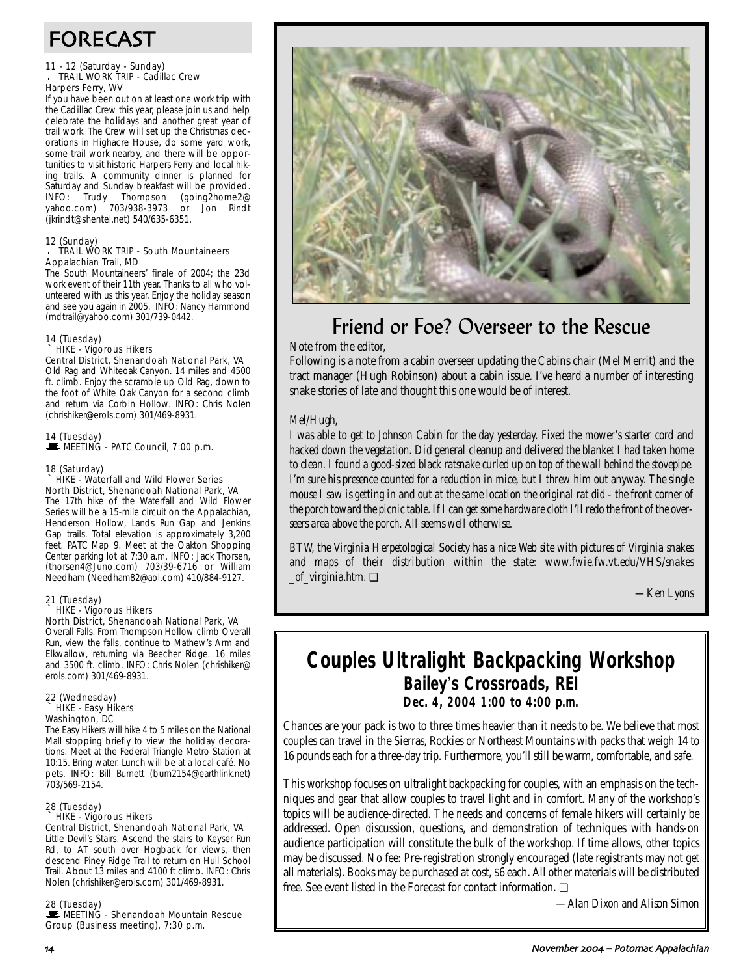## FORECAST

#### 11 - 12 (Saturday - Sunday) . TRAIL WORK TRIP - Cadillac Crew Harpers Ferry, WV

If you have been out on at least one work trip with the Cadillac Crew this year, please join us and help celebrate the holidays and another great year of trail work. The Crew will set up the Christmas decorations in Highacre House, do some yard work, some trail work nearby, and there will be opportunities to visit historic Harpers Ferry and local hiking trails. A community dinner is planned for Saturday and Sunday breakfast will be provided. INFO: Trudy Thompson (going2home2@ yahoo.com) 703/938-3973 or Jon Rindt (jkrindt@shentel.net) 540/635-6351.

#### 12 (Sunday)

#### . TRAIL WORK TRIP - South Mountaineers Appalachian Trail, MD

The South Mountaineers' finale of 2004; the 23d work event of their 11th year. Thanks to all who volunteered with us this year. Enjoy the holiday season and see you again in 2005. INFO: Nancy Hammond (mdtrail@yahoo.com) 301/739-0442.

## 14 (Tuesday) ` HIKE - Vigorous Hikers

#### Central District, Shenandoah National Park, VA Old Rag and Whiteoak Canyon. 14 miles and 4500

ft. climb. Enjoy the scramble up Old Rag, down to the foot of White Oak Canyon for a second climb and return via Corbin Hollow. INFO: Chris Nolen (chrishiker@erols.com) 301/469-8931.

14 (Tuesday)<br>■ MEETING - PATC Council, 7:00 p.m.

#### 18 (Saturday)

` HIKE - Waterfall and Wild Flower Series North District, Shenandoah National Park, VA The 17th hike of the Waterfall and Wild Flower Series will be a 15-mile circuit on the Appalachian, Henderson Hollow, Lands Run Gap and Jenkins Gap trails. Total elevation is approximately 3,200 feet. PATC Map 9. Meet at the Oakton Shopping Center parking lot at 7:30 a.m. INFO: Jack Thorsen, (thorsen4@Juno.com) 703/39-6716 or William Needham (Needham82@aol.com) 410/884-9127.

### 21 (Tuesday) HIKE - Vigorous Hikers

North District, Shenandoah National Park, VA Overall Falls. From Thompson Hollow climb Overall Run, view the falls, continue to Mathew's Arm and Elkwallow, returning via Beecher Ridge. 16 miles and 3500 ft. climb. INFO: Chris Nolen (chrishiker@ erols.com) 301/469-8931.

#### 22 (Wednesday) ` HIKE - Easy Hikers Washington, DC

The Easy Hikers will hike 4 to 5 miles on the National Mall stopping briefly to view the holiday decorations. Meet at the Federal Triangle Metro Station at 10:15. Bring water. Lunch will be at a local café. No pets. INFO: Bill Burnett (burn2154@earthlink.net) 703/569-2154.

#### 28 (Tuesday)

#### ` HIKE - Vigorous Hikers

Central District, Shenandoah National Park, VA Little Devil's Stairs. Ascend the stairs to Keyser Run Rd, to AT south over Hogback for views, then descend Piney Ridge Trail to return on Hull School Trail. About 13 miles and 4100 ft climb. INFO: Chris Nolen (chrishiker@erols.com) 301/469-8931.

#### 28 (Tuesday)

MEETING - Shenandoah Mountain Rescue Group (Business meeting), 7:30 p.m.



## Friend or Foe? Overseer to the Rescue

Note from the editor,

Following is a note from a cabin overseer updating the Cabins chair (Mel Merrit) and the tract manager (Hugh Robinson) about a cabin issue. I've heard a number of interesting snake stories of late and thought this one would be of interest.

### *Mel/Hugh,*

*I was able to get to Johnson Cabin for the day yesterday. Fixed the mower's starter cord and hacked down the vegetation. Did general cleanup and delivered the blanket I had taken home to clean. I found a good-sized black ratsnake curled up on top of the wall behind the stovepipe. I'm sure his presence counted for a reduction in mice, but I threw him out anyway. The single mouse I saw is getting in and out at the same location the original rat did - the front corner of the porch toward the picnic table. If I can get some hardware cloth I'll redo the front of the overseers area above the porch. All seems well otherwise.*

*BTW, the Virginia Herpetological Society has a nice Web site with pictures of Virginia snakes and maps of their distribution within the state: www.fwie.fw.vt.edu/VHS/snakes \_of\_virginia.htm*. ❏

*—Ken Lyons*

## **Couples Ultralight Backpacking Workshop Bailey**'**s Crossroads, REI Dec. 4, 2004 1:00 to 4:00 p.m.**

Chances are your pack is two to three times heavier than it needs to be. We believe that most couples can travel in the Sierras, Rockies or Northeast Mountains with packs that weigh 14 to 16 pounds each for a three-day trip. Furthermore, you'll still be warm, comfortable, and safe.

This workshop focuses on ultralight backpacking for couples, with an emphasis on the techniques and gear that allow couples to travel light and in comfort. Many of the workshop's topics will be audience-directed. The needs and concerns of female hikers will certainly be addressed. Open discussion, questions, and demonstration of techniques with hands-on audience participation will constitute the bulk of the workshop. If time allows, other topics may be discussed. No fee: Pre-registration strongly encouraged (late registrants may not get all materials). Books may be purchased at cost, \$6 each. All other materials will be distributed free. See event listed in the Forecast for contact information. ❏

*—Alan Dixon and Alison Simon*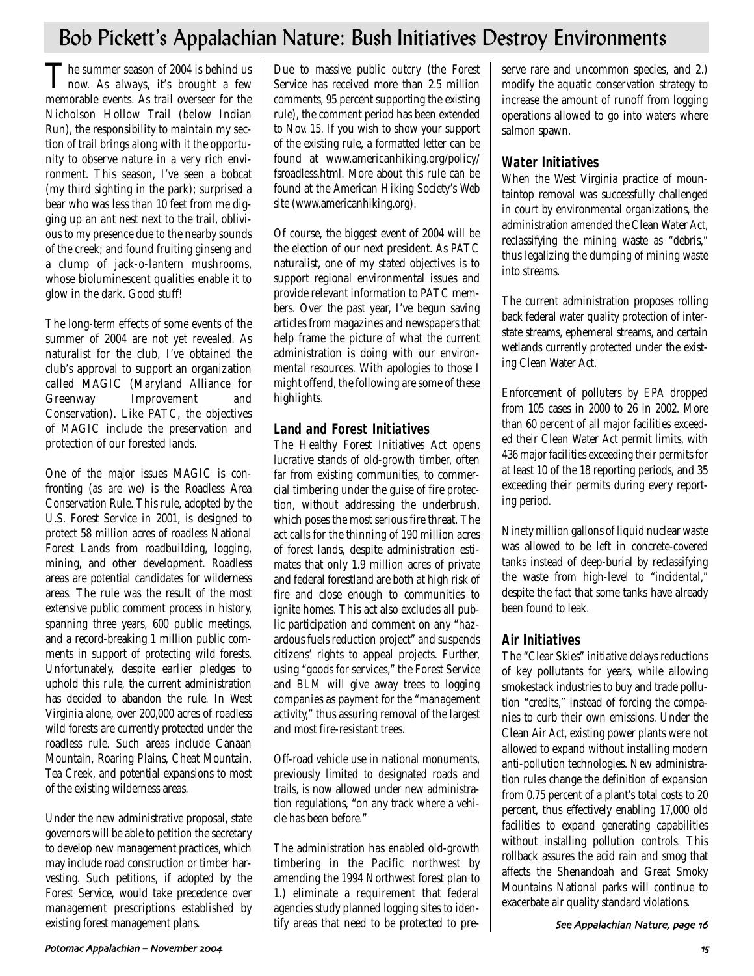## Bob Pickett's Appalachian Nature: Bush Initiatives Destroy Environments

The summer season of 2004 is behind us<br>now. As always, it's brought a few memorable events. As trail overseer for the Nicholson Hollow Trail (below Indian Run), the responsibility to maintain my section of trail brings along with it the opportunity to observe nature in a very rich environment. This season, I've seen a bobcat (my third sighting in the park); surprised a bear who was less than 10 feet from me digging up an ant nest next to the trail, oblivious to my presence due to the nearby sounds of the creek; and found fruiting ginseng and a clump of jack-o-lantern mushrooms, whose bioluminescent qualities enable it to glow in the dark. Good stuff!

The long-term effects of some events of the summer of 2004 are not yet revealed. As naturalist for the club, I've obtained the club's approval to support an organization called MAGIC (Maryland Alliance for Greenway Improvement and Conservation). Like PATC, the objectives of MAGIC include the preservation and protection of our forested lands.

One of the major issues MAGIC is confronting (as are we) is the Roadless Area Conservation Rule. This rule, adopted by the U.S. Forest Service in 2001, is designed to protect 58 million acres of roadless National Forest Lands from roadbuilding, logging, mining, and other development. Roadless areas are potential candidates for wilderness areas. The rule was the result of the most extensive public comment process in history, spanning three years, 600 public meetings, and a record-breaking 1 million public comments in support of protecting wild forests. Unfortunately, despite earlier pledges to uphold this rule, the current administration has decided to abandon the rule. In West Virginia alone, over 200,000 acres of roadless wild forests are currently protected under the roadless rule. Such areas include Canaan Mountain, Roaring Plains, Cheat Mountain, Tea Creek, and potential expansions to most of the existing wilderness areas.

Under the new administrative proposal, state governors will be able to petition the secretary to develop new management practices, which may include road construction or timber harvesting. Such petitions, if adopted by the Forest Service, would take precedence over management prescriptions established by existing forest management plans.

Due to massive public outcry (the Forest Service has received more than 2.5 million comments, 95 percent supporting the existing rule), the comment period has been extended to Nov. 15. If you wish to show your support of the existing rule, a formatted letter can be found at www.americanhiking.org/policy/ fsroadless.html. More about this rule can be found at the American Hiking Society's Web site (www.americanhiking.org).

Of course, the biggest event of 2004 will be the election of our next president. As PATC naturalist, one of my stated objectives is to support regional environmental issues and provide relevant information to PATC members. Over the past year, I've begun saving articles from magazines and newspapers that help frame the picture of what the current administration is doing with our environmental resources. With apologies to those I might offend, the following are some of these highlights.

### **Land and Forest Initiatives**

The Healthy Forest Initiatives Act opens lucrative stands of old-growth timber, often far from existing communities, to commercial timbering under the guise of fire protection, without addressing the underbrush, which poses the most serious fire threat. The act calls for the thinning of 190 million acres of forest lands, despite administration estimates that only 1.9 million acres of private and federal forestland are both at high risk of fire and close enough to communities to ignite homes. This act also excludes all public participation and comment on any "hazardous fuels reduction project" and suspends citizens' rights to appeal projects. Further, using "goods for services," the Forest Service and BLM will give away trees to logging companies as payment for the "management activity," thus assuring removal of the largest and most fire-resistant trees.

Off-road vehicle use in national monuments, previously limited to designated roads and trails, is now allowed under new administration regulations, "on any track where a vehicle has been before."

The administration has enabled old-growth timbering in the Pacific northwest by amending the 1994 Northwest forest plan to 1.) eliminate a requirement that federal agencies study planned logging sites to identify areas that need to be protected to pre-

serve rare and uncommon species, and 2.) modify the aquatic conservation strategy to increase the amount of runoff from logging operations allowed to go into waters where salmon spawn.

### **Water Initiatives**

When the West Virginia practice of mountaintop removal was successfully challenged in court by environmental organizations, the administration amended the Clean Water Act, reclassifying the mining waste as "debris," thus legalizing the dumping of mining waste into streams.

The current administration proposes rolling back federal water quality protection of interstate streams, ephemeral streams, and certain wetlands currently protected under the existing Clean Water Act.

Enforcement of polluters by EPA dropped from 105 cases in 2000 to 26 in 2002. More than 60 percent of all major facilities exceeded their Clean Water Act permit limits, with 436 major facilities exceeding their permits for at least 10 of the 18 reporting periods, and 35 exceeding their permits during every reporting period.

Ninety million gallons of liquid nuclear waste was allowed to be left in concrete-covered tanks instead of deep-burial by reclassifying the waste from high-level to "incidental," despite the fact that some tanks have already been found to leak.

### **Air Initiatives**

The "Clear Skies" initiative delays reductions of key pollutants for years, while allowing smokestack industries to buy and trade pollution "credits," instead of forcing the companies to curb their own emissions. Under the Clean Air Act, existing power plants were not allowed to expand without installing modern anti-pollution technologies. New administration rules change the definition of expansion from 0.75 percent of a plant's total costs to 20 percent, thus effectively enabling 17,000 old facilities to expand generating capabilities without installing pollution controls. This rollback assures the acid rain and smog that affects the Shenandoah and Great Smoky Mountains National parks will continue to exacerbate air quality standard violations.

See Appalachian Nature, page 16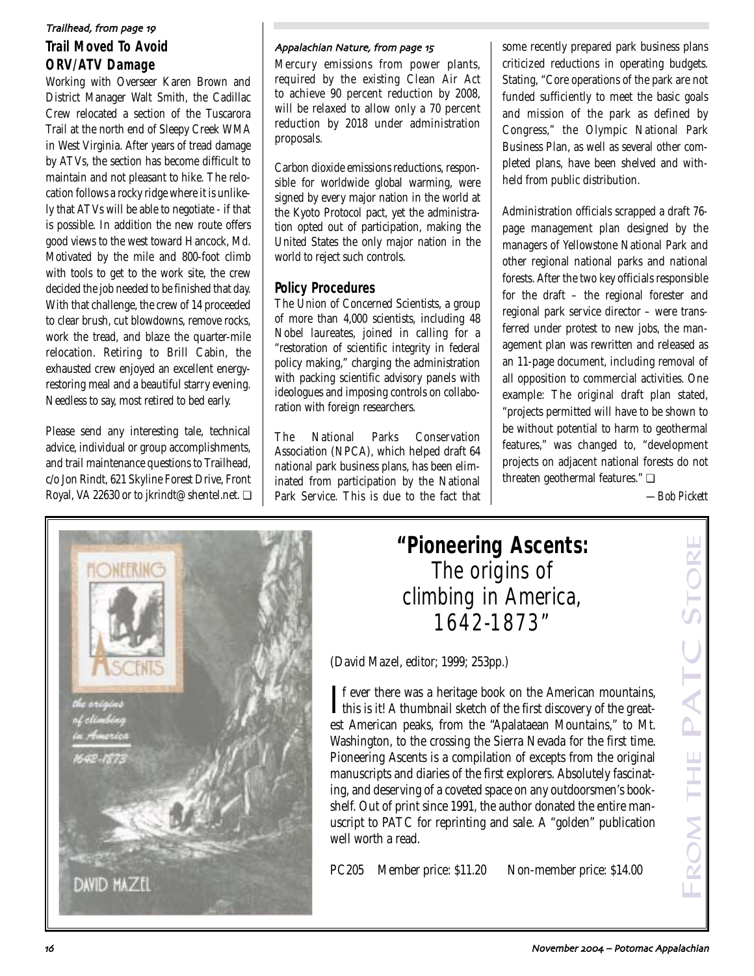## **Trail Moved To Avoid ORV/ATV Damage** Trailhead, from page 19

Working with Overseer Karen Brown and District Manager Walt Smith, the Cadillac Crew relocated a section of the Tuscarora Trail at the north end of Sleepy Creek WMA in West Virginia. After years of tread damage by ATVs, the section has become difficult to maintain and not pleasant to hike. The relocation follows a rocky ridge where it is unlikely that ATVs will be able to negotiate - if that is possible. In addition the new route offers good views to the west toward Hancock, Md. Motivated by the mile and 800-foot climb with tools to get to the work site, the crew decided the job needed to be finished that day. With that challenge, the crew of 14 proceeded to clear brush, cut blowdowns, remove rocks, work the tread, and blaze the quarter-mile relocation. Retiring to Brill Cabin, the exhausted crew enjoyed an excellent energyrestoring meal and a beautiful starry evening. Needless to say, most retired to bed early.

Please send any interesting tale, technical advice, individual or group accomplishments, and trail maintenance questions to Trailhead, c/o Jon Rindt, 621 Skyline Forest Drive, Front Royal, VA 22630 or to jkrindt@shentel.net. ❏

#### Appalachian Nature, from page 15

Mercury emissions from power plants, required by the existing Clean Air Act to achieve 90 percent reduction by 2008, will be relaxed to allow only a 70 percent reduction by 2018 under administration proposals.

Carbon dioxide emissions reductions, responsible for worldwide global warming, were signed by every major nation in the world at the Kyoto Protocol pact, yet the administration opted out of participation, making the United States the only major nation in the world to reject such controls.

### **Policy Procedures**

The Union of Concerned Scientists, a group of more than 4,000 scientists, including 48 Nobel laureates, joined in calling for a "restoration of scientific integrity in federal policy making," charging the administration with packing scientific advisory panels with ideologues and imposing controls on collaboration with foreign researchers.

The National Parks Conservation Association (NPCA), which helped draft 64 national park business plans, has been eliminated from participation by the National Park Service. This is due to the fact that some recently prepared park business plans criticized reductions in operating budgets. Stating, "Core operations of the park are not funded sufficiently to meet the basic goals and mission of the park as defined by Congress," the Olympic National Park Business Plan, as well as several other completed plans, have been shelved and withheld from public distribution.

Administration officials scrapped a draft 76 page management plan designed by the managers of Yellowstone National Park and other regional national parks and national forests. After the two key officials responsible for the draft – the regional forester and regional park service director – were transferred under protest to new jobs, the management plan was rewritten and released as an 11-page document, including removal of all opposition to commercial activities. One example: The original draft plan stated, "projects permitted will have to be shown to be without potential to harm to geothermal features," was changed to, "development projects on adjacent national forests do not threaten geothermal features." ❏

*—Bob Pickett*



## **"Pioneering Ascents:**  The origins of climbing in America, 1642-1873"

(David Mazel, editor; 1999; 253pp.)

If ever there was a heritage book on the American mountains,<br>this is it! A thumbnail sketch of the first discovery of the great- $\mathbf{T}$ f ever there was a heritage book on the American mountains, est American peaks, from the "Apalataean Mountains," to Mt. Washington, to the crossing the Sierra Nevada for the first time. Pioneering Ascents is a compilation of excepts from the original manuscripts and diaries of the first explorers. Absolutely fascinating, and deserving of a coveted space on any outdoorsmen's bookshelf. Out of print since 1991, the author donated the entire manuscript to PATC for reprinting and sale. A "golden" publication well worth a read.

PC205 Member price: \$11.20 Non-member price: \$14.00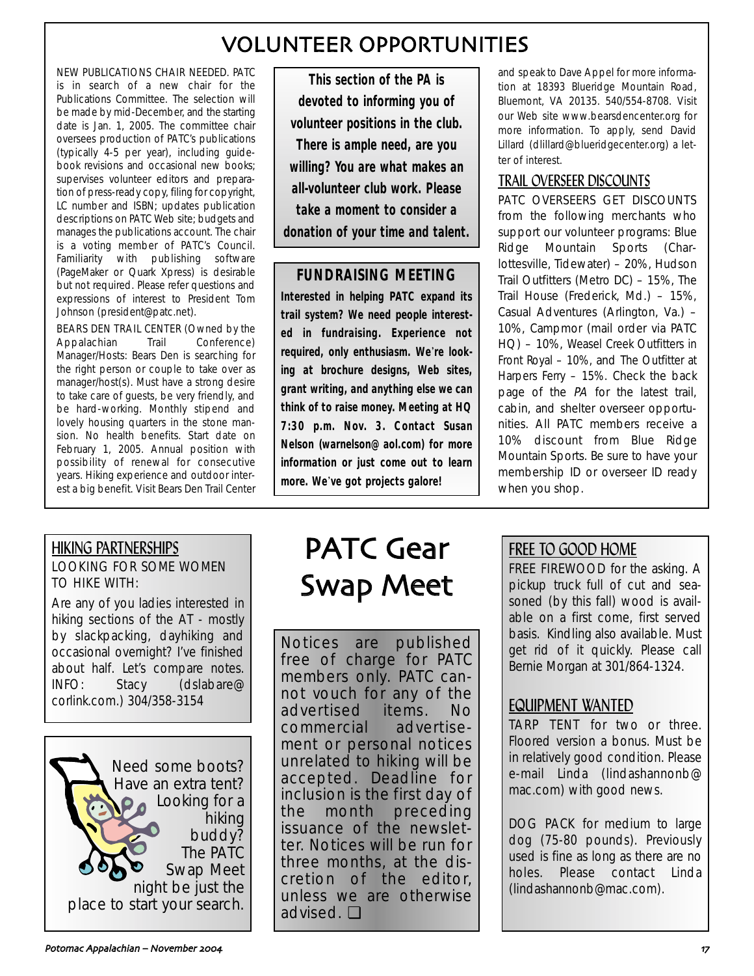## VOLUNTEER OPPORTUNITIES

NEW PUBLICATIONS CHAIR NEEDED. PATC is in search of a new chair for the Publications Committee. The selection will be made by mid-December, and the starting date is Jan. 1, 2005. The committee chair oversees production of PATC's publications (typically 4-5 per year), including guidebook revisions and occasional new books; supervises volunteer editors and preparation of press-ready copy, filing for copyright, LC number and ISBN; updates publication descriptions on PATC Web site; budgets and manages the publications account. The chair is a voting member of PATC's Council. Familiarity with publishing software (PageMaker or Quark Xpress) is desirable but not required. Please refer questions and expressions of interest to President Tom Johnson (president@patc.net).

BEARS DEN TRAIL CENTER (Owned by the Appalachian Trail Conference) Manager/Hosts: Bears Den is searching for the right person or couple to take over as manager/host(s). Must have a strong desire to take care of guests, be very friendly, and be hard-working. Monthly stipend and lovely housing quarters in the stone mansion. No health benefits. Start date on February 1, 2005. Annual position with possibility of renewal for consecutive years. Hiking experience and outdoor interest a big benefit. Visit Bears Den Trail Center

**This section of the** *PA* **is devoted to informing you of volunteer positions in the club. There is ample need, are you willing?** *You* **are what makes an all-volunteer club work. Please take a moment to consider a donation of your time and talent.**

## **FUNDRAISING MEETING**

**Interested in helping PATC expand its trail system? We need people interested in fundraising. Experience not required, only enthusiasm. We**'**re looking at brochure designs, Web sites, grant writing, and anything else we can think of to raise money. Meeting at HQ 7:30 p.m. Nov. 3. Contact Susan Nelson (warnelson@aol.com) for more information or just come out to learn more. We**'**ve got projects galore!**

and speak to Dave Appel for more information at 18393 Blueridge Mountain Road, Bluemont, VA 20135. 540/554-8708. Visit our Web site www.bearsdencenter.org for more information. To apply, send David Lillard (dlillard@blueridgecenter.org) a letter of interest.

## TRAIL OVERSEER DISCOUNTS

PATC OVERSEERS GET DISCOUNTS from the following merchants who support our volunteer programs: Blue Ridge Mountain Sports (Charlottesville, Tidewater) – 20%, Hudson Trail Outfitters (Metro DC) – 15%, The Trail House (Frederick, Md.) – 15%, Casual Adventures (Arlington, Va.) – 10%, Campmor (mail order via PATC HQ) – 10%, Weasel Creek Outfitters in Front Royal – 10%, and The Outfitter at Harpers Ferry – 15%. Check the back page of the PA for the latest trail, cabin, and shelter overseer opportunities. All PATC members receive a 10% discount from Blue Ridge Mountain Sports. Be sure to have your membership ID or overseer ID ready when you shop.

### HIKING PARTNERSHIPS LOOKING FOR SOME WOMEN TO HIKE WITH:

Are any of you ladies interested in hiking sections of the AT - mostly by slackpacking, dayhiking and occasional overnight? I've finished about half. Let's compare notes. INFO: Stacy (dslabare@ corlink.com.) 304/358-3154



# PATC Gear Swap Meet

Notices are published free of charge for PATC members only. PATC cannot vouch for any of the advertised items. No commercial advertisement or personal notices unrelated to hiking will be accepted. Deadline for inclusion is the first day of the month preceding issuance of the newsletter. Notices will be run for three months, at the discretion of the editor, unless we are otherwise advised. ❏

## FREE TO GOOD HOME

FREE FIREWOOD for the asking. A pickup truck full of cut and seasoned (by this fall) wood is available on a first come, first served basis. Kindling also available. Must get rid of it quickly. Please call Bernie Morgan at 301/864-1324.

## EQUIPMENT WANTED

TARP TENT for two or three. Floored version a bonus. Must be in relatively good condition. Please e-mail Linda (lindashannonb@ mac.com) with good news.

DOG PACK for medium to large dog (75-80 pounds). Previously used is fine as long as there are no holes. Please contact Linda (lindashannonb@mac.com).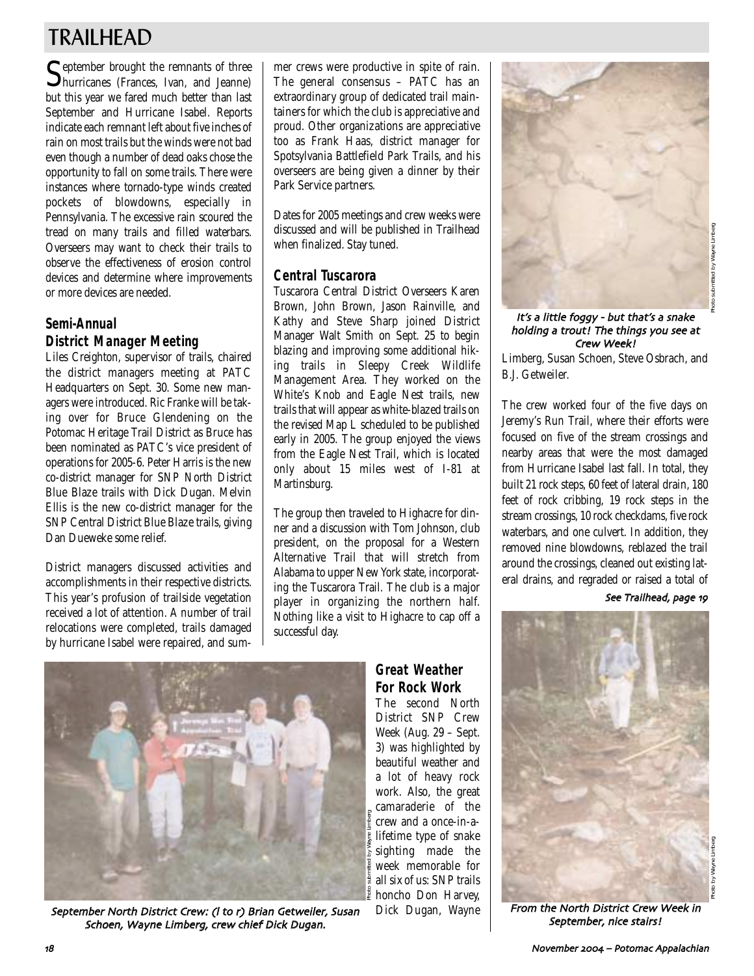## TRAILHEAD

September brought the remnants of three<br>hurricanes (Frances, Ivan, and Jeanne) but this year we fared much better than last September and Hurricane Isabel. Reports indicate each remnant left about five inches of rain on most trails but the winds were not bad even though a number of dead oaks chose the opportunity to fall on some trails. There were instances where tornado-type winds created pockets of blowdowns, especially in Pennsylvania. The excessive rain scoured the tread on many trails and filled waterbars. Overseers may want to check their trails to observe the effectiveness of erosion control devices and determine where improvements or more devices are needed.

## **Semi-Annual District Manager Meeting**

Liles Creighton, supervisor of trails, chaired the district managers meeting at PATC Headquarters on Sept. 30. Some new managers were introduced. Ric Franke will be taking over for Bruce Glendening on the Potomac Heritage Trail District as Bruce has been nominated as PATC's vice president of operations for 2005-6. Peter Harris is the new co-district manager for SNP North District Blue Blaze trails with Dick Dugan. Melvin Ellis is the new co-district manager for the SNP Central District Blue Blaze trails, giving Dan Dueweke some relief.

District managers discussed activities and accomplishments in their respective districts. This year's profusion of trailside vegetation received a lot of attention. A number of trail relocations were completed, trails damaged by hurricane Isabel were repaired, and summer crews were productive in spite of rain. The general consensus – PATC has an extraordinary group of dedicated trail maintainers for which the club is appreciative and proud. Other organizations are appreciative too as Frank Haas, district manager for Spotsylvania Battlefield Park Trails, and his overseers are being given a dinner by their Park Service partners.

Dates for 2005 meetings and crew weeks were discussed and will be published in Trailhead when finalized. Stay tuned.

### **Central Tuscarora**

Tuscarora Central District Overseers Karen Brown, John Brown, Jason Rainville, and Kathy and Steve Sharp joined District Manager Walt Smith on Sept. 25 to begin blazing and improving some additional hiking trails in Sleepy Creek Wildlife Management Area. They worked on the White's Knob and Eagle Nest trails, new trails that will appear as white-blazed trails on the revised Map L scheduled to be published early in 2005. The group enjoyed the views from the Eagle Nest Trail, which is located only about 15 miles west of I-81 at Martinsburg.

The group then traveled to Highacre for dinner and a discussion with Tom Johnson, club president, on the proposal for a Western Alternative Trail that will stretch from Alabama to upper New York state, incorporating the Tuscarora Trail. The club is a major player in organizing the northern half. Nothing like a visit to Highacre to cap off a successful day.



September North District Crew: (I to r) Brian Getweiler, Susan Schoen, Wayne Limberg, crew chief Dick Dugan.

## **Great Weather For Rock Work**

The second North District SNP Crew Week (Aug. 29 – Sept. 3) was highlighted by beautiful weather and a lot of heavy rock work. Also, the great camaraderie of the crew and a once-in-alifetime type of snake sighting made the week memorable for all six of us: SNP trails honcho Don Harvey, Dick Dugan, Wayne



#### It's a little foggy - but that's a snake holding a trout! The things you see at Crew Week!

Limberg, Susan Schoen, Steve Osbrach, and B.J. Getweiler.

The crew worked four of the five days on Jeremy's Run Trail, where their efforts were focused on five of the stream crossings and nearby areas that were the most damaged from Hurricane Isabel last fall. In total, they built 21 rock steps, 60 feet of lateral drain, 180 feet of rock cribbing, 19 rock steps in the stream crossings, 10 rock checkdams, five rock waterbars, and one culvert. In addition, they removed nine blowdowns, reblazed the trail around the crossings, cleaned out existing lateral drains, and regraded or raised a total of

See Trailhead, page 19



From the North District Crew Week in September, nice stairs!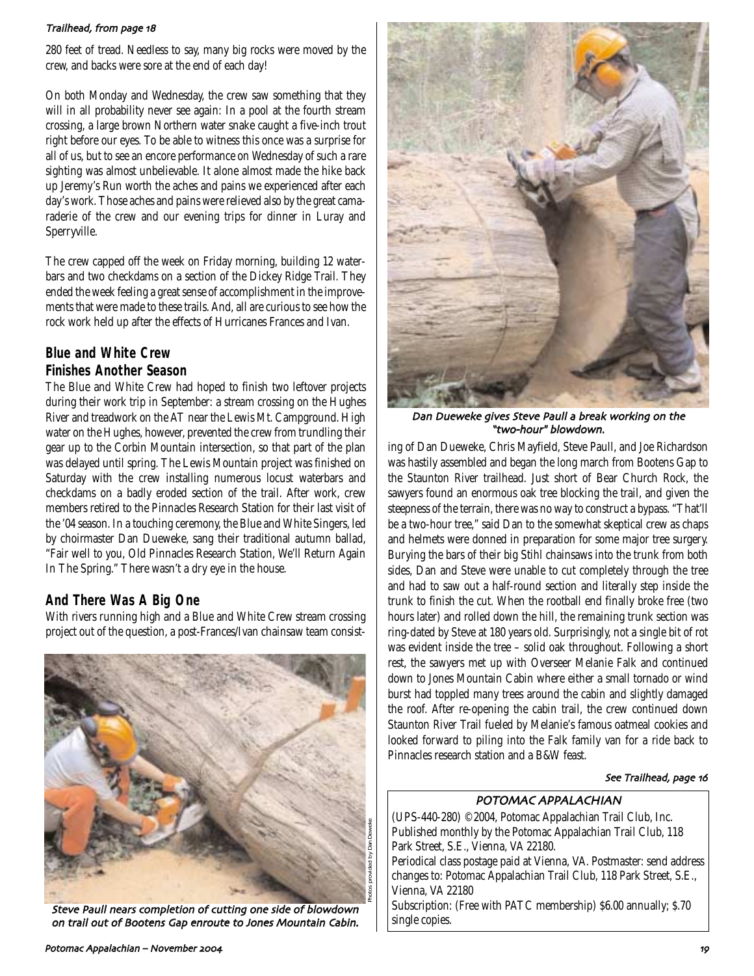#### Trailhead, from page 18

280 feet of tread. Needless to say, many big rocks were moved by the crew, and backs were sore at the end of each day!

On both Monday and Wednesday, the crew saw something that they will in all probability never see again: In a pool at the fourth stream crossing, a large brown Northern water snake caught a five-inch trout right before our eyes. To be able to witness this once was a surprise for all of us, but to see an encore performance on Wednesday of such a rare sighting was almost unbelievable. It alone almost made the hike back up Jeremy's Run worth the aches and pains we experienced after each day's work. Those aches and pains were relieved also by the great camaraderie of the crew and our evening trips for dinner in Luray and Sperryville.

The crew capped off the week on Friday morning, building 12 waterbars and two checkdams on a section of the Dickey Ridge Trail. They ended the week feeling a great sense of accomplishment in the improvements that were made to these trails. And, all are curious to see how the rock work held up after the effects of Hurricanes Frances and Ivan.

### **Blue and White Crew Finishes Another Season**

The Blue and White Crew had hoped to finish two leftover projects during their work trip in September: a stream crossing on the Hughes River and treadwork on the AT near the Lewis Mt. Campground. High water on the Hughes, however, prevented the crew from trundling their gear up to the Corbin Mountain intersection, so that part of the plan was delayed until spring. The Lewis Mountain project was finished on Saturday with the crew installing numerous locust waterbars and checkdams on a badly eroded section of the trail. After work, crew members retired to the Pinnacles Research Station for their last visit of the '04 season. In a touching ceremony, the Blue and White Singers, led by choirmaster Dan Dueweke, sang their traditional autumn ballad, "Fair well to you, Old Pinnacles Research Station, We'll Return Again In The Spring." There wasn't a dry eye in the house.

### **And There Was A Big One**

With rivers running high and a Blue and White Crew stream crossing project out of the question, a post-Frances/Ivan chainsaw team consist-



Steve Paull nears completion of cutting one side of blowdown on trail out of Bootens Gap enroute to Jones Mountain Cabin.



Dan Dueweke gives Steve Paull a break working on the "two-hour" blowdown.

ing of Dan Dueweke, Chris Mayfield, Steve Paull, and Joe Richardson was hastily assembled and began the long march from Bootens Gap to the Staunton River trailhead. Just short of Bear Church Rock, the sawyers found an enormous oak tree blocking the trail, and given the steepness of the terrain, there was no way to construct a bypass. "That'll be a two-hour tree," said Dan to the somewhat skeptical crew as chaps and helmets were donned in preparation for some major tree surgery. Burying the bars of their big Stihl chainsaws into the trunk from both sides, Dan and Steve were unable to cut completely through the tree and had to saw out a half-round section and literally step inside the trunk to finish the cut. When the rootball end finally broke free (two hours later) and rolled down the hill, the remaining trunk section was ring-dated by Steve at 180 years old. Surprisingly, not a single bit of rot was evident inside the tree – solid oak throughout. Following a short rest, the sawyers met up with Overseer Melanie Falk and continued down to Jones Mountain Cabin where either a small tornado or wind burst had toppled many trees around the cabin and slightly damaged the roof. After re-opening the cabin trail, the crew continued down Staunton River Trail fueled by Melanie's famous oatmeal cookies and looked forward to piling into the Falk family van for a ride back to Pinnacles research station and a B&W feast.

#### See Trailhead, page 16

### POTOMAC APPALACHIAN

(UPS-440-280) ©2004, Potomac Appalachian Trail Club, Inc. Published monthly by the Potomac Appalachian Trail Club, 118 Park Street, S.E., Vienna, VA 22180. Periodical class postage paid at Vienna, VA. Postmaster: send address changes to: Potomac Appalachian Trail Club, 118 Park Street, S.E., Vienna, VA 22180 Subscription: (Free with PATC membership) \$6.00 annually; \$.70 single copies.